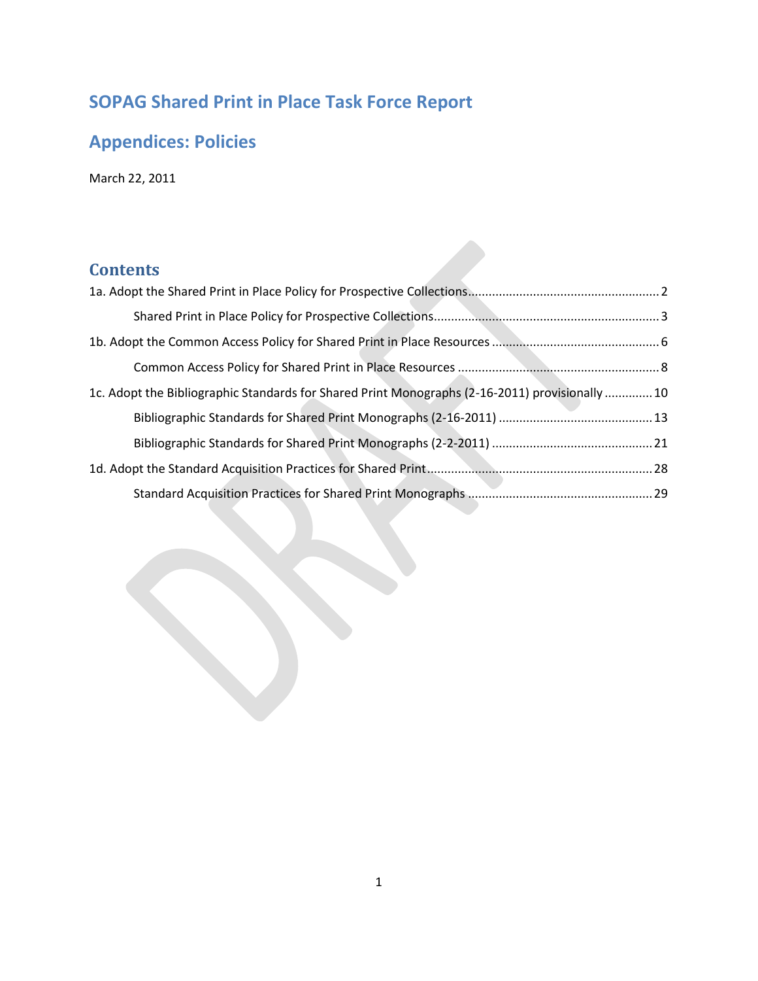# **SOPAG Shared Print in Place Task Force Report**

# **Appendices: Policies**

March 22, 2011

## **Contents**

| 10. Adopt the Bibliographic Standards for Shared Print Monographs (2-16-2011) provisionally  10 |  |
|-------------------------------------------------------------------------------------------------|--|
|                                                                                                 |  |
|                                                                                                 |  |
|                                                                                                 |  |
|                                                                                                 |  |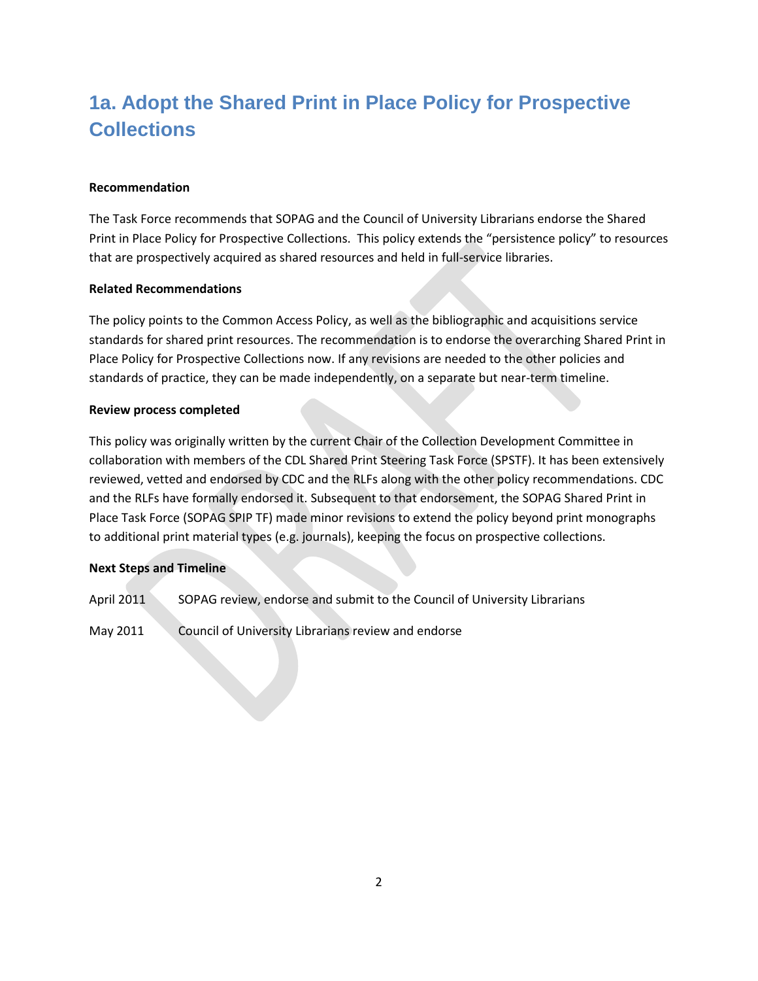# <span id="page-1-0"></span>**1a. Adopt the Shared Print in Place Policy for Prospective Collections**

## **Recommendation**

The Task Force recommends that SOPAG and the Council of University Librarians endorse the Shared Print in Place Policy for Prospective Collections. This policy extends the "persistence policy" to resources that are prospectively acquired as shared resources and held in full-service libraries.

#### **Related Recommendations**

The policy points to the Common Access Policy, as well as the bibliographic and acquisitions service standards for shared print resources. The recommendation is to endorse the overarching Shared Print in Place Policy for Prospective Collections now. If any revisions are needed to the other policies and standards of practice, they can be made independently, on a separate but near-term timeline.

#### **Review process completed**

This policy was originally written by the current Chair of the Collection Development Committee in collaboration with members of the CDL Shared Print Steering Task Force (SPSTF). It has been extensively reviewed, vetted and endorsed by CDC and the RLFs along with the other policy recommendations. CDC and the RLFs have formally endorsed it. Subsequent to that endorsement, the SOPAG Shared Print in Place Task Force (SOPAG SPIP TF) made minor revisions to extend the policy beyond print monographs to additional print material types (e.g. journals), keeping the focus on prospective collections.

## **Next Steps and Timeline**

- April 2011 SOPAG review, endorse and submit to the Council of University Librarians
- May 2011 Council of University Librarians review and endorse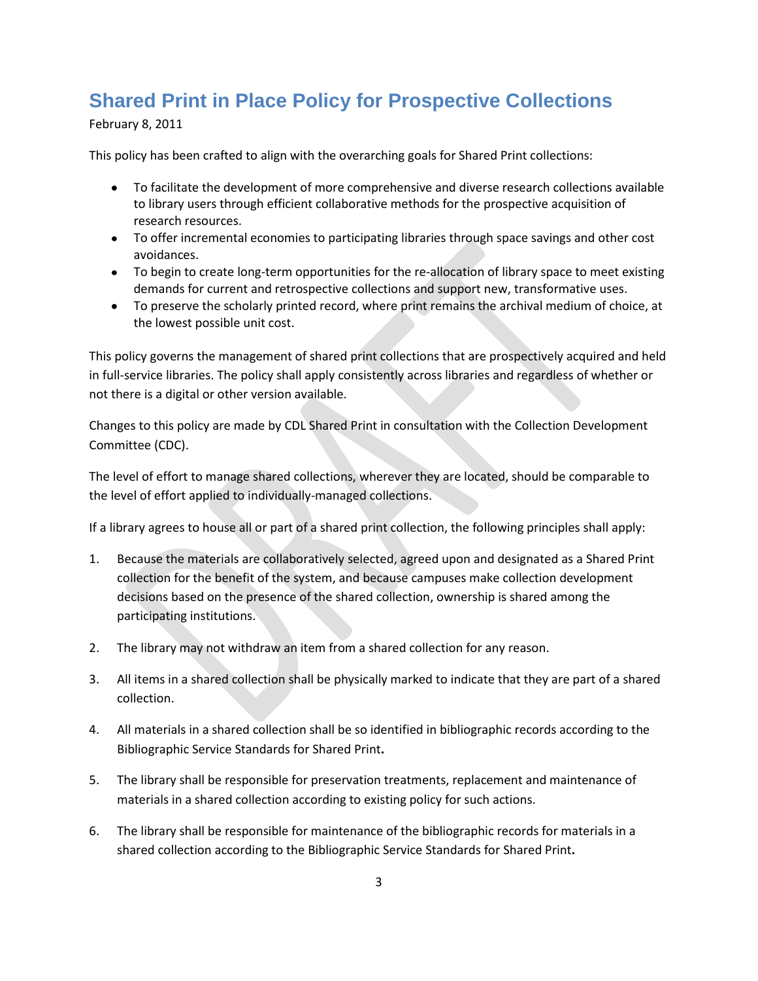## <span id="page-2-0"></span>**Shared Print in Place Policy for Prospective Collections**

February 8, 2011

This policy has been crafted to align with the overarching goals for Shared Print collections:

- To facilitate the development of more comprehensive and diverse research collections available to library users through efficient collaborative methods for the prospective acquisition of research resources.
- To offer incremental economies to participating libraries through space savings and other cost avoidances.
- To begin to create long-term opportunities for the re-allocation of library space to meet existing demands for current and retrospective collections and support new, transformative uses.
- To preserve the scholarly printed record, where print remains the archival medium of choice, at the lowest possible unit cost.

This policy governs the management of shared print collections that are prospectively acquired and held in full-service libraries. The policy shall apply consistently across libraries and regardless of whether or not there is a digital or other version available.

Changes to this policy are made by CDL Shared Print in consultation with the Collection Development Committee (CDC).

The level of effort to manage shared collections, wherever they are located, should be comparable to the level of effort applied to individually-managed collections.

If a library agrees to house all or part of a shared print collection, the following principles shall apply:

- 1. Because the materials are collaboratively selected, agreed upon and designated as a Shared Print collection for the benefit of the system, and because campuses make collection development decisions based on the presence of the shared collection, ownership is shared among the participating institutions.
- 2. The library may not withdraw an item from a shared collection for any reason.
- 3. All items in a shared collection shall be physically marked to indicate that they are part of a shared collection.
- 4. All materials in a shared collection shall be so identified in bibliographic records according to the Bibliographic Service Standards for Shared Print**.**
- 5. The library shall be responsible for preservation treatments, replacement and maintenance of materials in a shared collection according to existing policy for such actions.
- 6. The library shall be responsible for maintenance of the bibliographic records for materials in a shared collection according to the Bibliographic Service Standards for Shared Print**.**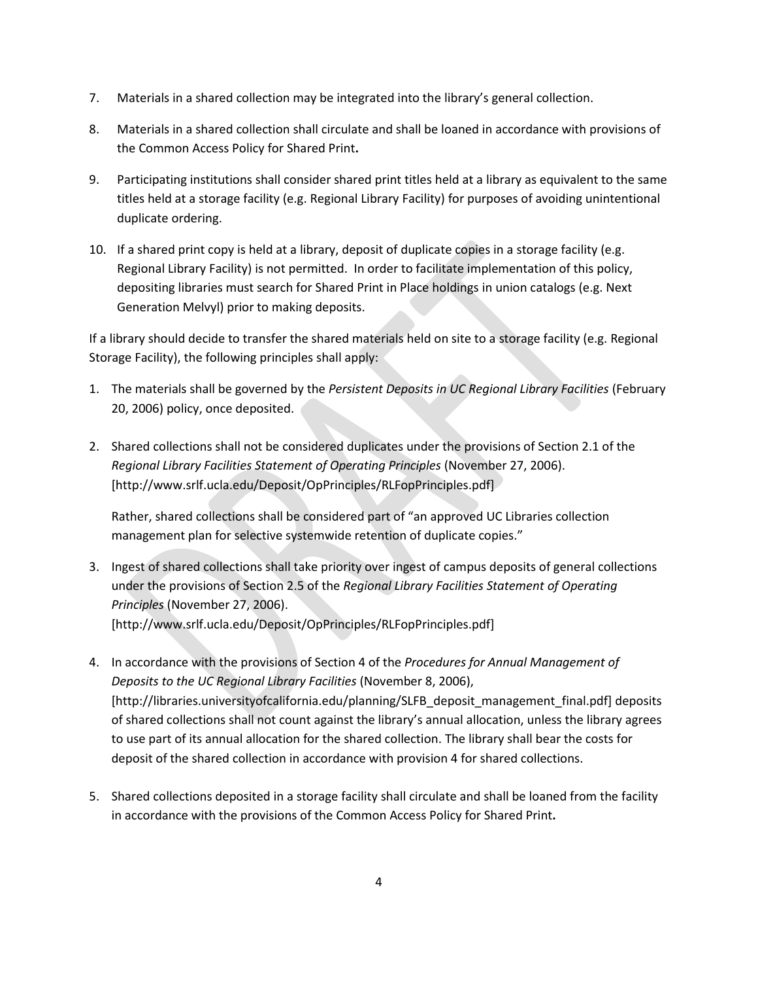- 7. Materials in a shared collection may be integrated into the library's general collection.
- 8. Materials in a shared collection shall circulate and shall be loaned in accordance with provisions of the Common Access Policy for Shared Print**.**
- 9. Participating institutions shall consider shared print titles held at a library as equivalent to the same titles held at a storage facility (e.g. Regional Library Facility) for purposes of avoiding unintentional duplicate ordering.
- 10. If a shared print copy is held at a library, deposit of duplicate copies in a storage facility (e.g. Regional Library Facility) is not permitted. In order to facilitate implementation of this policy, depositing libraries must search for Shared Print in Place holdings in union catalogs (e.g. Next Generation Melvyl) prior to making deposits.

If a library should decide to transfer the shared materials held on site to a storage facility (e.g. Regional Storage Facility), the following principles shall apply:

- 1. The materials shall be governed by the *Persistent Deposits in UC Regional Library Facilities* (February 20, 2006) policy, once deposited.
- 2. Shared collections shall not be considered duplicates under the provisions of Section 2.1 of the *Regional Library Facilities Statement of Operating Principles* (November 27, 2006). [http://www.srlf.ucla.edu/Deposit/OpPrinciples/RLFopPrinciples.pdf]

Rather, shared collections shall be considered part of "an approved UC Libraries collection management plan for selective systemwide retention of duplicate copies."

- 3. Ingest of shared collections shall take priority over ingest of campus deposits of general collections under the provisions of Section 2.5 of the *Regional Library Facilities Statement of Operating Principles* (November 27, 2006). [http://www.srlf.ucla.edu/Deposit/OpPrinciples/RLFopPrinciples.pdf]
- 4. In accordance with the provisions of Section 4 of the *Procedures for Annual Management of Deposits to the UC Regional Library Facilities* (November 8, 2006), [http://libraries.universityofcalifornia.edu/planning/SLFB\_deposit\_management\_final.pdf] deposits of shared collections shall not count against the library's annual allocation, unless the library agrees to use part of its annual allocation for the shared collection. The library shall bear the costs for deposit of the shared collection in accordance with provision 4 for shared collections.
- 5. Shared collections deposited in a storage facility shall circulate and shall be loaned from the facility in accordance with the provisions of the Common Access Policy for Shared Print**.**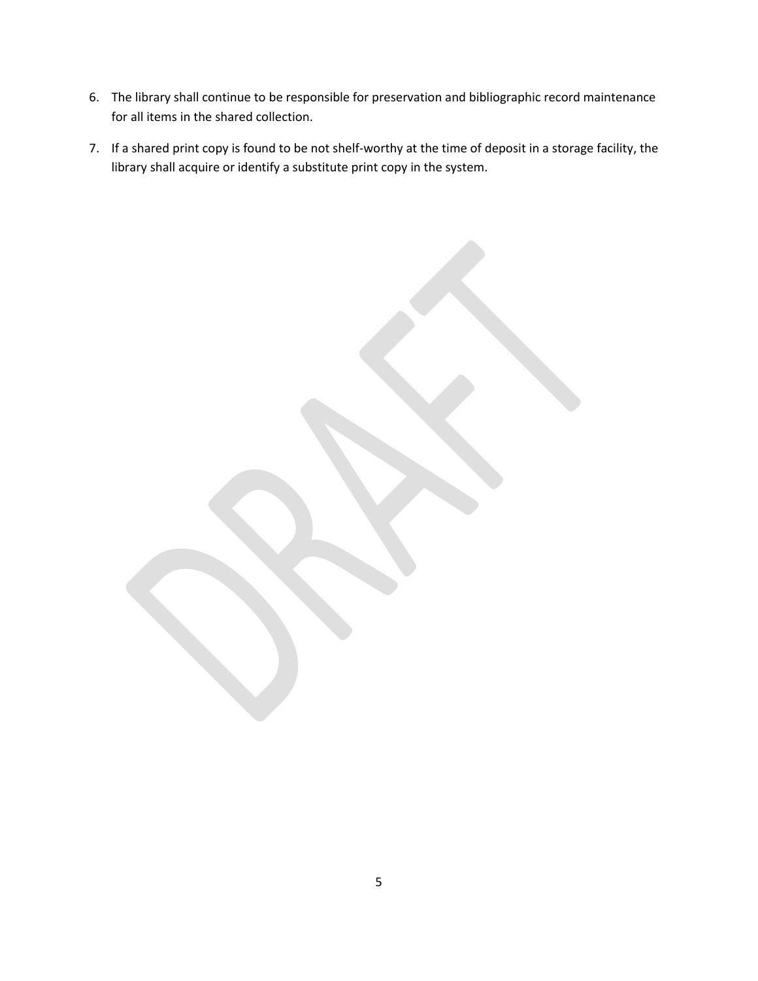- 6. The library shall continue to be responsible for preservation and bibliographic record maintenance for all items in the shared collection.
- 7. If a shared print copy is found to be not shelf-worthy at the time of deposit in a storage facility, the library shall acquire or identify a substitute print copy in the system.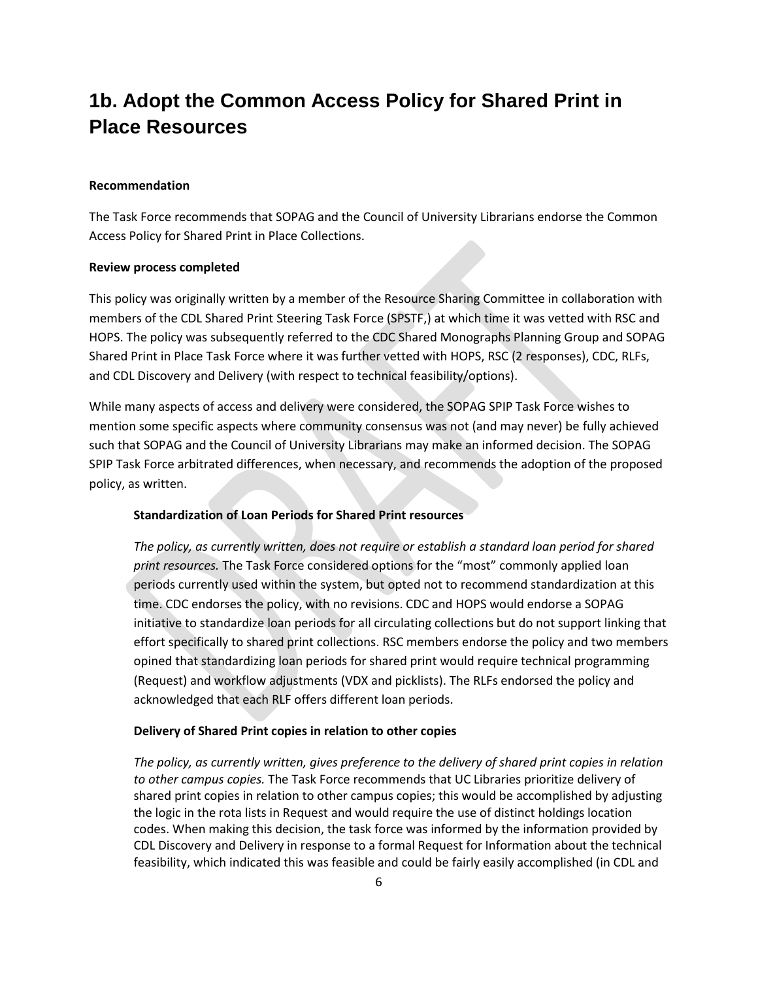## <span id="page-5-0"></span>**1b. Adopt the Common Access Policy for Shared Print in Place Resources**

#### **Recommendation**

The Task Force recommends that SOPAG and the Council of University Librarians endorse the Common Access Policy for Shared Print in Place Collections.

#### **Review process completed**

This policy was originally written by a member of the Resource Sharing Committee in collaboration with members of the CDL Shared Print Steering Task Force (SPSTF,) at which time it was vetted with RSC and HOPS. The policy was subsequently referred to the CDC Shared Monographs Planning Group and SOPAG Shared Print in Place Task Force where it was further vetted with HOPS, RSC (2 responses), CDC, RLFs, and CDL Discovery and Delivery (with respect to technical feasibility/options).

While many aspects of access and delivery were considered, the SOPAG SPIP Task Force wishes to mention some specific aspects where community consensus was not (and may never) be fully achieved such that SOPAG and the Council of University Librarians may make an informed decision. The SOPAG SPIP Task Force arbitrated differences, when necessary, and recommends the adoption of the proposed policy, as written.

#### **Standardization of Loan Periods for Shared Print resources**

*The policy, as currently written, does not require or establish a standard loan period for shared print resources.* The Task Force considered options for the "most" commonly applied loan periods currently used within the system, but opted not to recommend standardization at this time. CDC endorses the policy, with no revisions. CDC and HOPS would endorse a SOPAG initiative to standardize loan periods for all circulating collections but do not support linking that effort specifically to shared print collections. RSC members endorse the policy and two members opined that standardizing loan periods for shared print would require technical programming (Request) and workflow adjustments (VDX and picklists). The RLFs endorsed the policy and acknowledged that each RLF offers different loan periods.

#### **Delivery of Shared Print copies in relation to other copies**

*The policy, as currently written, gives preference to the delivery of shared print copies in relation to other campus copies.* The Task Force recommends that UC Libraries prioritize delivery of shared print copies in relation to other campus copies; this would be accomplished by adjusting the logic in the rota lists in Request and would require the use of distinct holdings location codes. When making this decision, the task force was informed by the information provided by CDL Discovery and Delivery in response to a formal Request for Information about the technical feasibility, which indicated this was feasible and could be fairly easily accomplished (in CDL and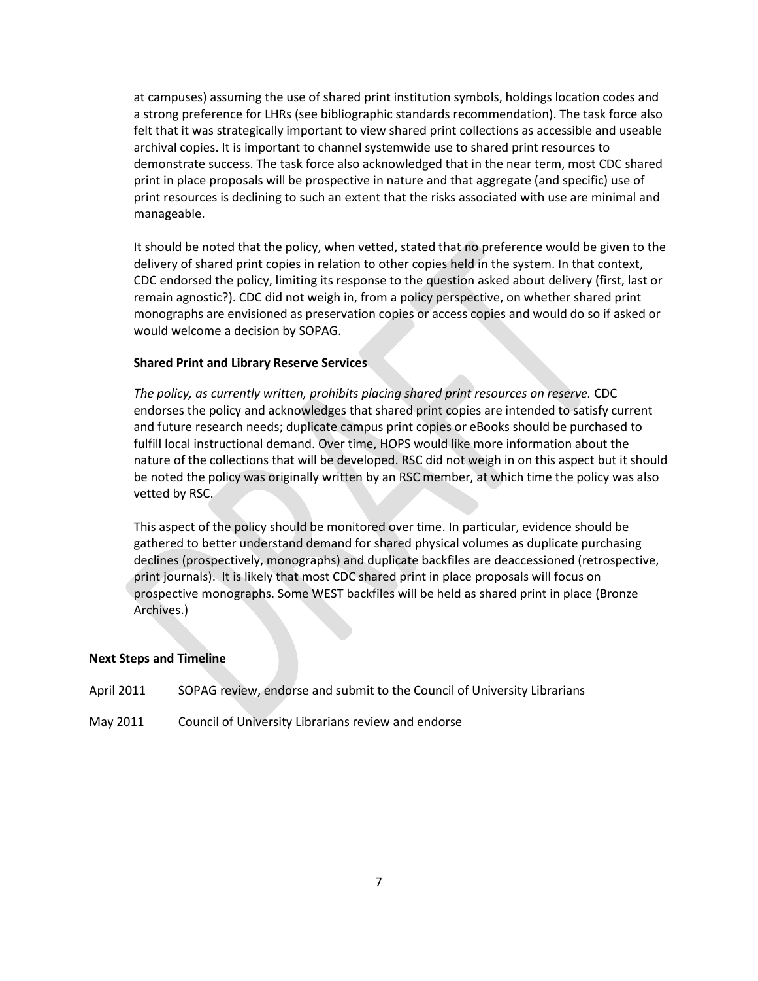at campuses) assuming the use of shared print institution symbols, holdings location codes and a strong preference for LHRs (see bibliographic standards recommendation). The task force also felt that it was strategically important to view shared print collections as accessible and useable archival copies. It is important to channel systemwide use to shared print resources to demonstrate success. The task force also acknowledged that in the near term, most CDC shared print in place proposals will be prospective in nature and that aggregate (and specific) use of print resources is declining to such an extent that the risks associated with use are minimal and manageable.

It should be noted that the policy, when vetted, stated that no preference would be given to the delivery of shared print copies in relation to other copies held in the system. In that context, CDC endorsed the policy, limiting its response to the question asked about delivery (first, last or remain agnostic?). CDC did not weigh in, from a policy perspective, on whether shared print monographs are envisioned as preservation copies or access copies and would do so if asked or would welcome a decision by SOPAG.

#### **Shared Print and Library Reserve Services**

*The policy, as currently written, prohibits placing shared print resources on reserve.* CDC endorses the policy and acknowledges that shared print copies are intended to satisfy current and future research needs; duplicate campus print copies or eBooks should be purchased to fulfill local instructional demand. Over time, HOPS would like more information about the nature of the collections that will be developed. RSC did not weigh in on this aspect but it should be noted the policy was originally written by an RSC member, at which time the policy was also vetted by RSC.

This aspect of the policy should be monitored over time. In particular, evidence should be gathered to better understand demand for shared physical volumes as duplicate purchasing declines (prospectively, monographs) and duplicate backfiles are deaccessioned (retrospective, print journals). It is likely that most CDC shared print in place proposals will focus on prospective monographs. Some WEST backfiles will be held as shared print in place (Bronze Archives.)

#### **Next Steps and Timeline**

April 2011 SOPAG review, endorse and submit to the Council of University Librarians

May 2011 Council of University Librarians review and endorse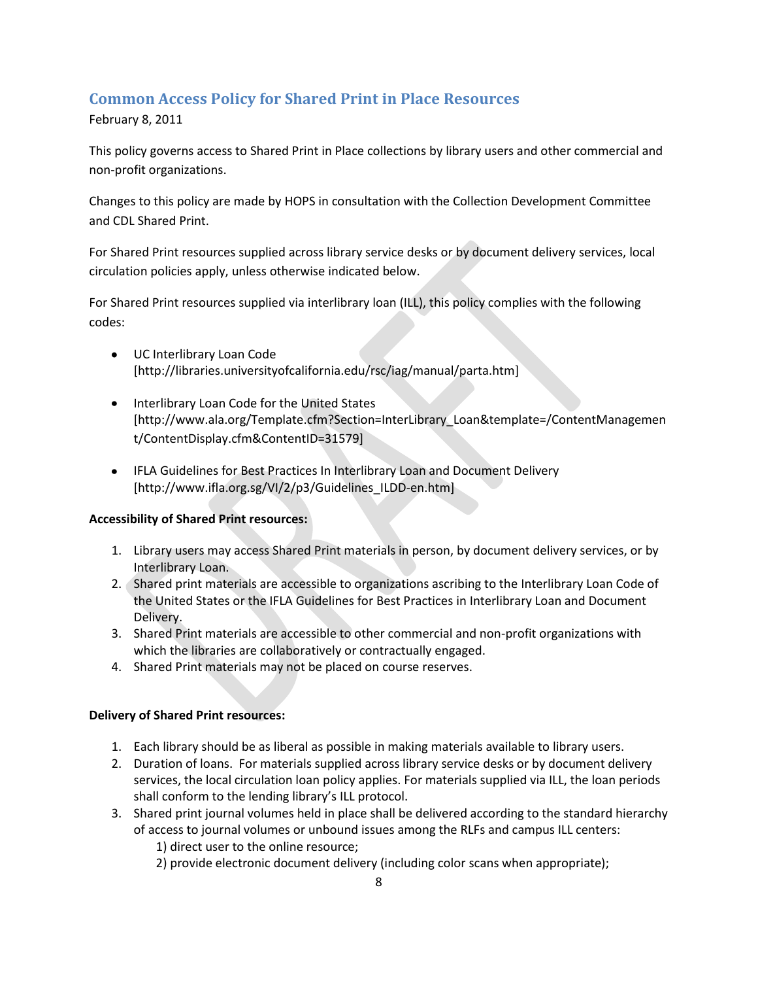## <span id="page-7-0"></span>**Common Access Policy for Shared Print in Place Resources**

February 8, 2011

This policy governs access to Shared Print in Place collections by library users and other commercial and non-profit organizations.

Changes to this policy are made by HOPS in consultation with the Collection Development Committee and CDL Shared Print.

For Shared Print resources supplied across library service desks or by document delivery services, local circulation policies apply, unless otherwise indicated below.

For Shared Print resources supplied via interlibrary loan (ILL), this policy complies with the following codes:

- UC Interlibrary Loan Code [http://libraries.universityofcalifornia.edu/rsc/iag/manual/parta.htm]
- Interlibrary Loan Code for the United States [http://www.ala.org/Template.cfm?Section=InterLibrary\_Loan&template=/ContentManagemen t/ContentDisplay.cfm&ContentID=31579]
- IFLA Guidelines for Best Practices In Interlibrary Loan and Document Delivery [http://www.ifla.org.sg/VI/2/p3/Guidelines\_ILDD-en.htm]

## **Accessibility of Shared Print resources:**

- 1. Library users may access Shared Print materials in person, by document delivery services, or by Interlibrary Loan.
- 2. Shared print materials are accessible to organizations ascribing to the Interlibrary Loan Code of the United States or the IFLA Guidelines for Best Practices in Interlibrary Loan and Document Delivery.
- 3. Shared Print materials are accessible to other commercial and non-profit organizations with which the libraries are collaboratively or contractually engaged.
- 4. Shared Print materials may not be placed on course reserves.

## **Delivery of Shared Print resources:**

- 1. Each library should be as liberal as possible in making materials available to library users.
- 2. Duration of loans. For materials supplied across library service desks or by document delivery services, the local circulation loan policy applies. For materials supplied via ILL, the loan periods shall conform to the lending library's ILL protocol.
- 3. Shared print journal volumes held in place shall be delivered according to the standard hierarchy of access to journal volumes or unbound issues among the RLFs and campus ILL centers:
	- 1) direct user to the online resource;
	- 2) provide electronic document delivery (including color scans when appropriate);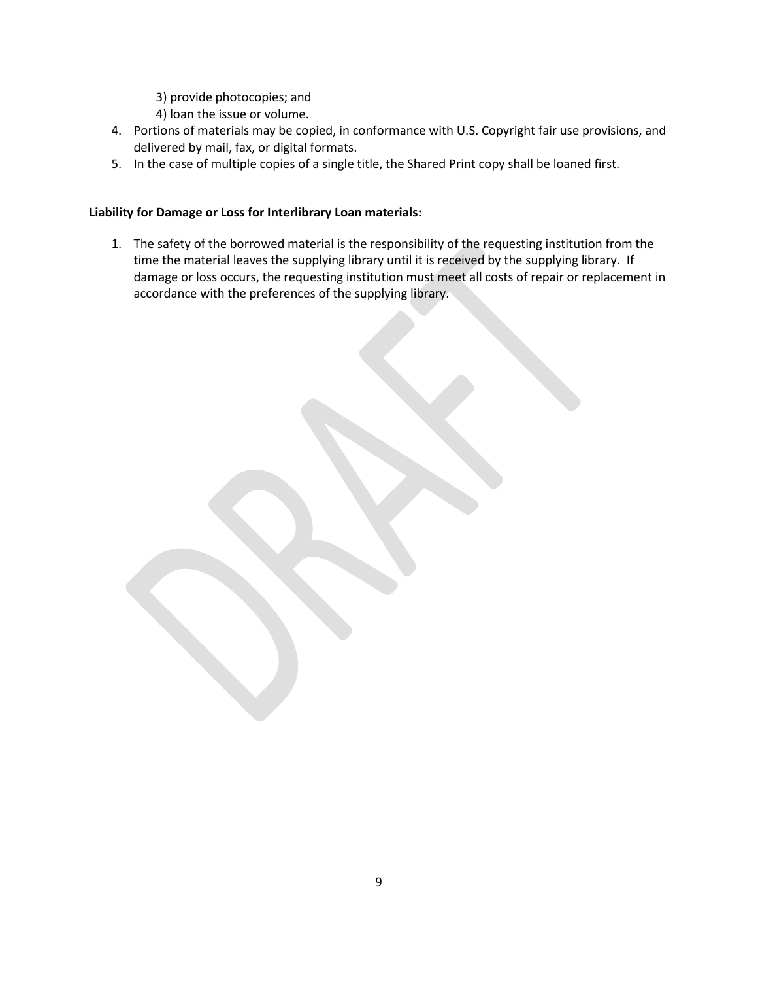3) provide photocopies; and

4) loan the issue or volume.

- 4. Portions of materials may be copied, in conformance with U.S. Copyright fair use provisions, and delivered by mail, fax, or digital formats.
- 5. In the case of multiple copies of a single title, the Shared Print copy shall be loaned first.

## **Liability for Damage or Loss for Interlibrary Loan materials:**

1. The safety of the borrowed material is the responsibility of the requesting institution from the time the material leaves the supplying library until it is received by the supplying library. If damage or loss occurs, the requesting institution must meet all costs of repair or replacement in accordance with the preferences of the supplying library.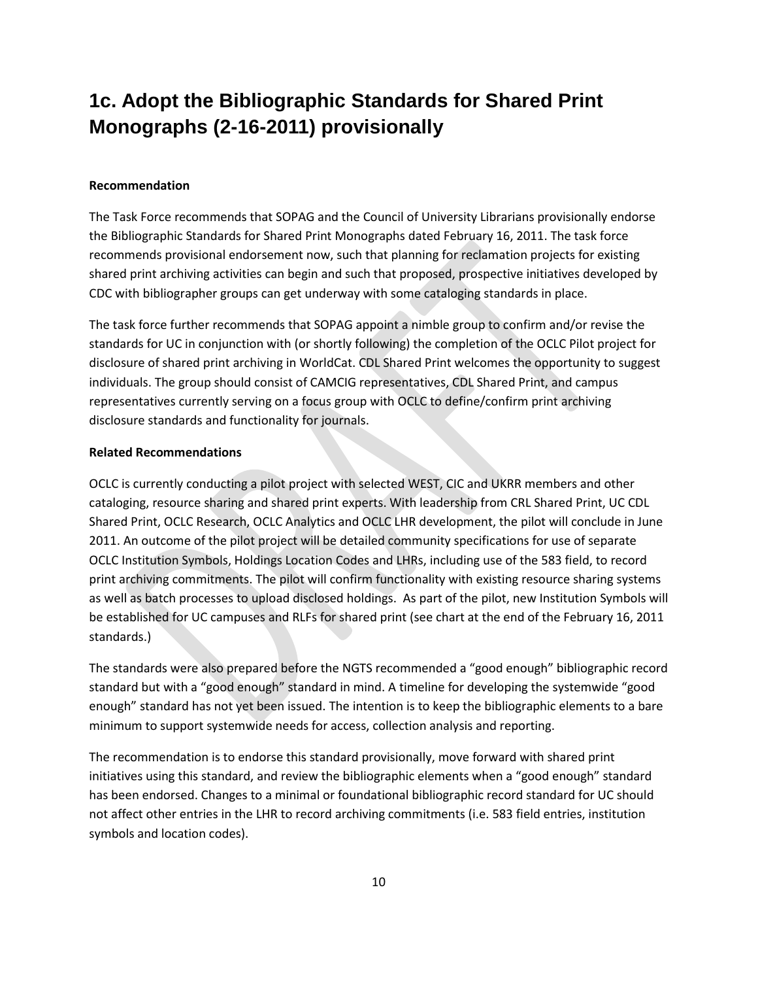# <span id="page-9-0"></span>**1c. Adopt the Bibliographic Standards for Shared Print Monographs (2-16-2011) provisionally**

#### **Recommendation**

The Task Force recommends that SOPAG and the Council of University Librarians provisionally endorse the Bibliographic Standards for Shared Print Monographs dated February 16, 2011. The task force recommends provisional endorsement now, such that planning for reclamation projects for existing shared print archiving activities can begin and such that proposed, prospective initiatives developed by CDC with bibliographer groups can get underway with some cataloging standards in place.

The task force further recommends that SOPAG appoint a nimble group to confirm and/or revise the standards for UC in conjunction with (or shortly following) the completion of the OCLC Pilot project for disclosure of shared print archiving in WorldCat. CDL Shared Print welcomes the opportunity to suggest individuals. The group should consist of CAMCIG representatives, CDL Shared Print, and campus representatives currently serving on a focus group with OCLC to define/confirm print archiving disclosure standards and functionality for journals.

#### **Related Recommendations**

OCLC is currently conducting a pilot project with selected WEST, CIC and UKRR members and other cataloging, resource sharing and shared print experts. With leadership from CRL Shared Print, UC CDL Shared Print, OCLC Research, OCLC Analytics and OCLC LHR development, the pilot will conclude in June 2011. An outcome of the pilot project will be detailed community specifications for use of separate OCLC Institution Symbols, Holdings Location Codes and LHRs, including use of the 583 field, to record print archiving commitments. The pilot will confirm functionality with existing resource sharing systems as well as batch processes to upload disclosed holdings. As part of the pilot, new Institution Symbols will be established for UC campuses and RLFs for shared print (see chart at the end of the February 16, 2011 standards.)

The standards were also prepared before the NGTS recommended a "good enough" bibliographic record standard but with a "good enough" standard in mind. A timeline for developing the systemwide "good enough" standard has not yet been issued. The intention is to keep the bibliographic elements to a bare minimum to support systemwide needs for access, collection analysis and reporting.

The recommendation is to endorse this standard provisionally, move forward with shared print initiatives using this standard, and review the bibliographic elements when a "good enough" standard has been endorsed. Changes to a minimal or foundational bibliographic record standard for UC should not affect other entries in the LHR to record archiving commitments (i.e. 583 field entries, institution symbols and location codes).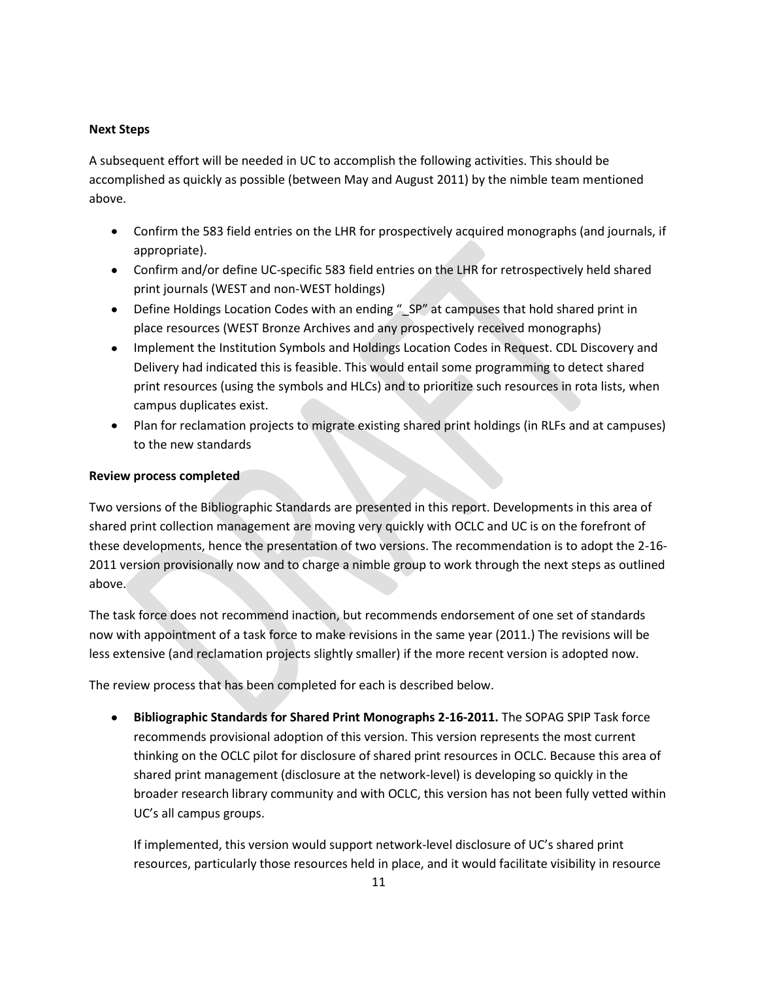#### **Next Steps**

A subsequent effort will be needed in UC to accomplish the following activities. This should be accomplished as quickly as possible (between May and August 2011) by the nimble team mentioned above.

- Confirm the 583 field entries on the LHR for prospectively acquired monographs (and journals, if appropriate).
- Confirm and/or define UC-specific 583 field entries on the LHR for retrospectively held shared print journals (WEST and non-WEST holdings)
- Define Holdings Location Codes with an ending " SP" at campuses that hold shared print in place resources (WEST Bronze Archives and any prospectively received monographs)
- Implement the Institution Symbols and Holdings Location Codes in Request. CDL Discovery and Delivery had indicated this is feasible. This would entail some programming to detect shared print resources (using the symbols and HLCs) and to prioritize such resources in rota lists, when campus duplicates exist.
- Plan for reclamation projects to migrate existing shared print holdings (in RLFs and at campuses) to the new standards

#### **Review process completed**

Two versions of the Bibliographic Standards are presented in this report. Developments in this area of shared print collection management are moving very quickly with OCLC and UC is on the forefront of these developments, hence the presentation of two versions. The recommendation is to adopt the 2-16- 2011 version provisionally now and to charge a nimble group to work through the next steps as outlined above.

The task force does not recommend inaction, but recommends endorsement of one set of standards now with appointment of a task force to make revisions in the same year (2011.) The revisions will be less extensive (and reclamation projects slightly smaller) if the more recent version is adopted now.

The review process that has been completed for each is described below.

**Bibliographic Standards for Shared Print Monographs 2-16-2011.** The SOPAG SPIP Task force  $\bullet$ recommends provisional adoption of this version. This version represents the most current thinking on the OCLC pilot for disclosure of shared print resources in OCLC. Because this area of shared print management (disclosure at the network-level) is developing so quickly in the broader research library community and with OCLC, this version has not been fully vetted within UC's all campus groups.

If implemented, this version would support network-level disclosure of UC's shared print resources, particularly those resources held in place, and it would facilitate visibility in resource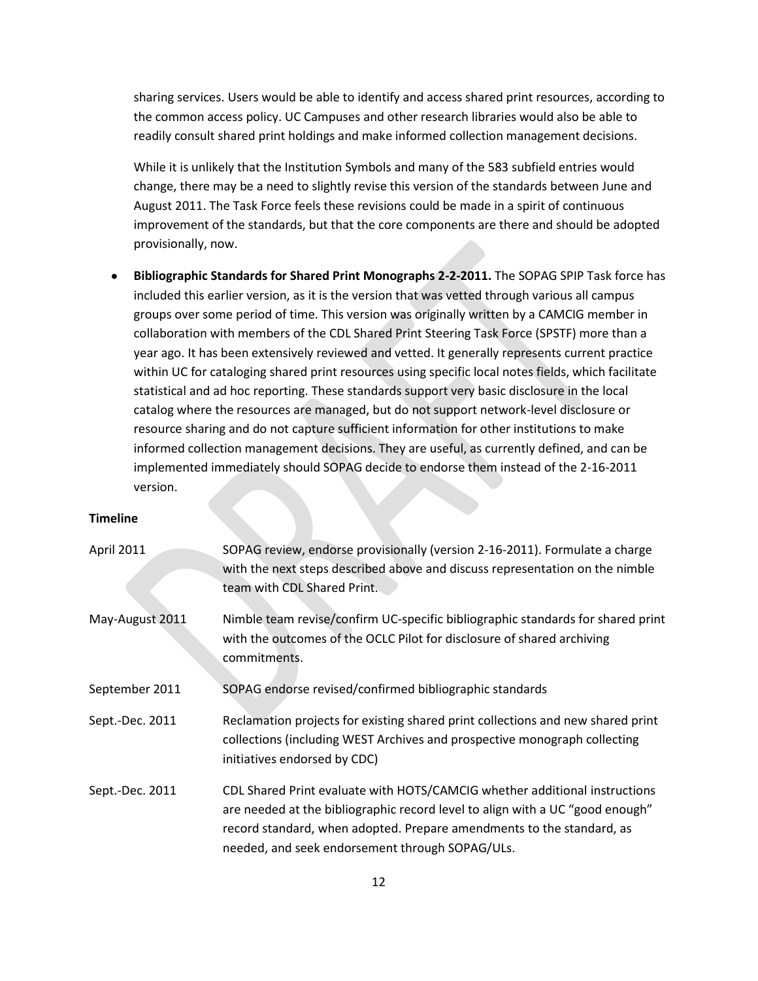sharing services. Users would be able to identify and access shared print resources, according to the common access policy. UC Campuses and other research libraries would also be able to readily consult shared print holdings and make informed collection management decisions.

While it is unlikely that the Institution Symbols and many of the 583 subfield entries would change, there may be a need to slightly revise this version of the standards between June and August 2011. The Task Force feels these revisions could be made in a spirit of continuous improvement of the standards, but that the core components are there and should be adopted provisionally, now.

**Bibliographic Standards for Shared Print Monographs 2-2-2011.** The SOPAG SPIP Task force has included this earlier version, as it is the version that was vetted through various all campus groups over some period of time. This version was originally written by a CAMCIG member in collaboration with members of the CDL Shared Print Steering Task Force (SPSTF) more than a year ago. It has been extensively reviewed and vetted. It generally represents current practice within UC for cataloging shared print resources using specific local notes fields, which facilitate statistical and ad hoc reporting. These standards support very basic disclosure in the local catalog where the resources are managed, but do not support network-level disclosure or resource sharing and do not capture sufficient information for other institutions to make informed collection management decisions. They are useful, as currently defined, and can be implemented immediately should SOPAG decide to endorse them instead of the 2-16-2011 version.

## **Timeline**

| April 2011      | SOPAG review, endorse provisionally (version 2-16-2011). Formulate a charge<br>with the next steps described above and discuss representation on the nimble<br>team with CDL Shared Print.                                                                                              |
|-----------------|-----------------------------------------------------------------------------------------------------------------------------------------------------------------------------------------------------------------------------------------------------------------------------------------|
| May-August 2011 | Nimble team revise/confirm UC-specific bibliographic standards for shared print<br>with the outcomes of the OCLC Pilot for disclosure of shared archiving<br>commitments.                                                                                                               |
| September 2011  | SOPAG endorse revised/confirmed bibliographic standards                                                                                                                                                                                                                                 |
| Sept.-Dec. 2011 | Reclamation projects for existing shared print collections and new shared print<br>collections (including WEST Archives and prospective monograph collecting<br>initiatives endorsed by CDC)                                                                                            |
| Sept.-Dec. 2011 | CDL Shared Print evaluate with HOTS/CAMCIG whether additional instructions<br>are needed at the bibliographic record level to align with a UC "good enough"<br>record standard, when adopted. Prepare amendments to the standard, as<br>needed, and seek endorsement through SOPAG/ULs. |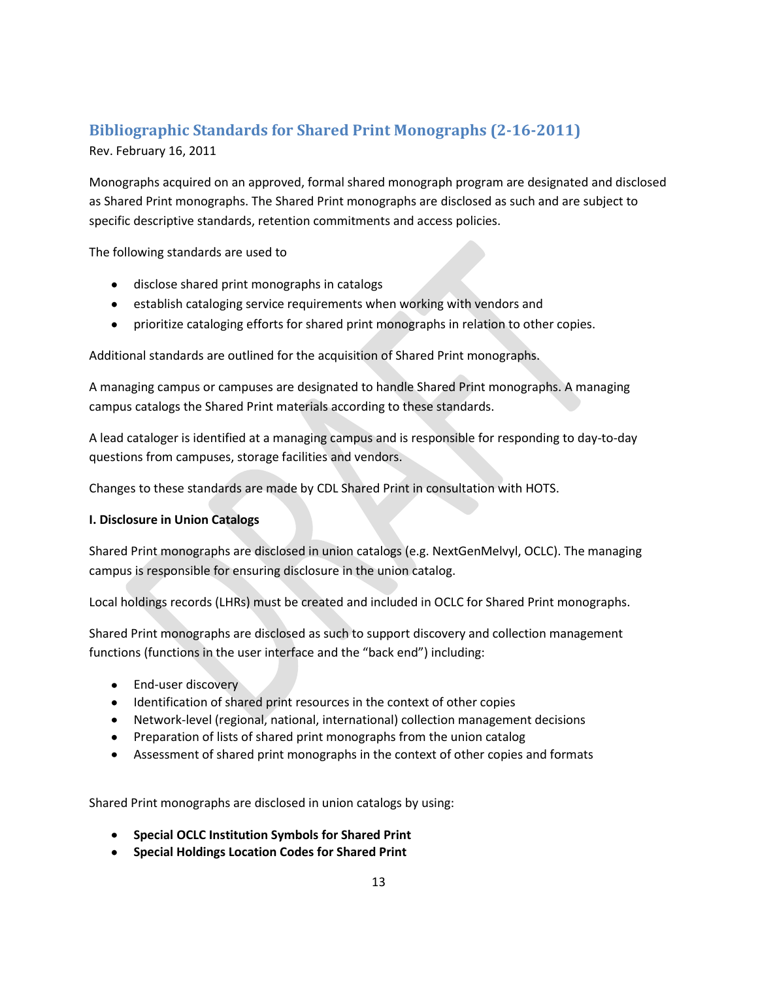## <span id="page-12-0"></span>**Bibliographic Standards for Shared Print Monographs (2-16-2011)**

Rev. February 16, 2011

Monographs acquired on an approved, formal shared monograph program are designated and disclosed as Shared Print monographs. The Shared Print monographs are disclosed as such and are subject to specific descriptive standards, retention commitments and access policies.

The following standards are used to

- disclose shared print monographs in catalogs
- **•** establish cataloging service requirements when working with vendors and
- prioritize cataloging efforts for shared print monographs in relation to other copies.

Additional standards are outlined for the acquisition of Shared Print monographs.

A managing campus or campuses are designated to handle Shared Print monographs. A managing campus catalogs the Shared Print materials according to these standards.

A lead cataloger is identified at a managing campus and is responsible for responding to day-to-day questions from campuses, storage facilities and vendors.

Changes to these standards are made by CDL Shared Print in consultation with HOTS.

## **I. Disclosure in Union Catalogs**

Shared Print monographs are disclosed in union catalogs (e.g. NextGenMelvyl, OCLC). The managing campus is responsible for ensuring disclosure in the union catalog.

Local holdings records (LHRs) must be created and included in OCLC for Shared Print monographs.

Shared Print monographs are disclosed as such to support discovery and collection management functions (functions in the user interface and the "back end") including:

- End-user discovery
- Identification of shared print resources in the context of other copies
- Network-level (regional, national, international) collection management decisions
- Preparation of lists of shared print monographs from the union catalog
- Assessment of shared print monographs in the context of other copies and formats

Shared Print monographs are disclosed in union catalogs by using:

- **•** Special OCLC Institution Symbols for Shared Print
- **Special Holdings Location Codes for Shared Print**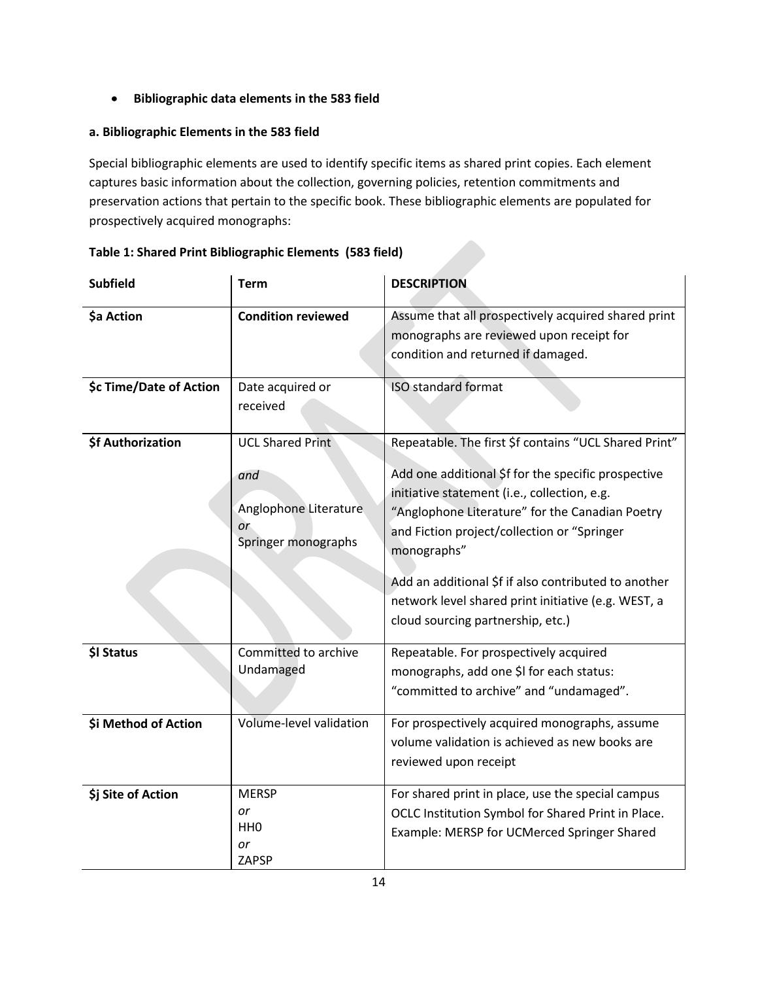## **Bibliographic data elements in the 583 field**

## **a. Bibliographic Elements in the 583 field**

Special bibliographic elements are used to identify specific items as shared print copies. Each element captures basic information about the collection, governing policies, retention commitments and preservation actions that pertain to the specific book. These bibliographic elements are populated for prospectively acquired monographs:

| <b>Subfield</b>         | <b>Term</b>                                                                          | <b>DESCRIPTION</b>                                                                                                                                                                                                                                                                                                                                                                                                                |  |  |
|-------------------------|--------------------------------------------------------------------------------------|-----------------------------------------------------------------------------------------------------------------------------------------------------------------------------------------------------------------------------------------------------------------------------------------------------------------------------------------------------------------------------------------------------------------------------------|--|--|
| \$a Action              | <b>Condition reviewed</b>                                                            | Assume that all prospectively acquired shared print<br>monographs are reviewed upon receipt for<br>condition and returned if damaged.                                                                                                                                                                                                                                                                                             |  |  |
| \$c Time/Date of Action | Date acquired or<br>received                                                         | <b>ISO</b> standard format                                                                                                                                                                                                                                                                                                                                                                                                        |  |  |
| \$f Authorization       | <b>UCL Shared Print</b><br>and<br>Anglophone Literature<br>or<br>Springer monographs | Repeatable. The first \$f contains "UCL Shared Print"<br>Add one additional \$f for the specific prospective<br>initiative statement (i.e., collection, e.g.<br>"Anglophone Literature" for the Canadian Poetry<br>and Fiction project/collection or "Springer<br>monographs"<br>Add an additional \$f if also contributed to another<br>network level shared print initiative (e.g. WEST, a<br>cloud sourcing partnership, etc.) |  |  |
| \$I Status              | Committed to archive<br>Undamaged                                                    | Repeatable. For prospectively acquired<br>monographs, add one \$I for each status:<br>"committed to archive" and "undamaged".                                                                                                                                                                                                                                                                                                     |  |  |
| \$i Method of Action    | Volume-level validation                                                              | For prospectively acquired monographs, assume<br>volume validation is achieved as new books are<br>reviewed upon receipt                                                                                                                                                                                                                                                                                                          |  |  |
| \$j Site of Action      | <b>MERSP</b><br>or<br>HH <sub>0</sub><br>or<br><b>ZAPSP</b>                          | For shared print in place, use the special campus<br>OCLC Institution Symbol for Shared Print in Place.<br>Example: MERSP for UCMerced Springer Shared                                                                                                                                                                                                                                                                            |  |  |

## **Table 1: Shared Print Bibliographic Elements (583 field)**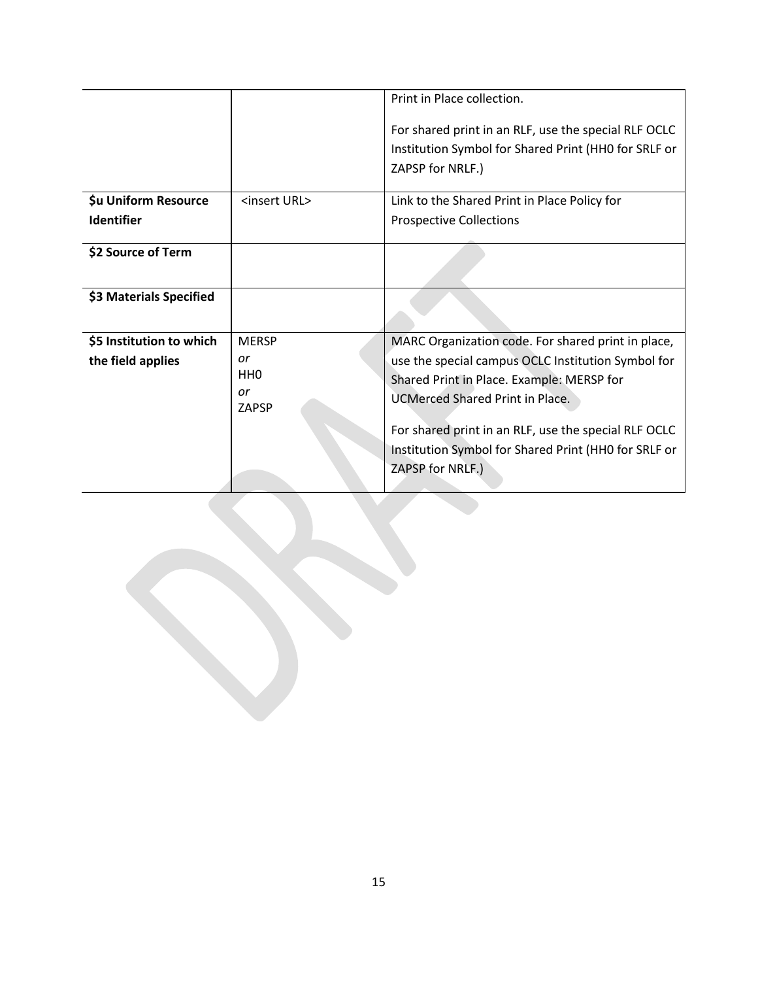|                                    |                                             | Print in Place collection.                                                                                                                                                                                                                                |
|------------------------------------|---------------------------------------------|-----------------------------------------------------------------------------------------------------------------------------------------------------------------------------------------------------------------------------------------------------------|
|                                    |                                             | For shared print in an RLF, use the special RLF OCLC<br>Institution Symbol for Shared Print (HHO for SRLF or<br>ZAPSP for NRLF.)                                                                                                                          |
| \$u Uniform Resource<br>Identifier | <insert url=""></insert>                    | Link to the Shared Print in Place Policy for<br><b>Prospective Collections</b>                                                                                                                                                                            |
| \$2 Source of Term                 |                                             |                                                                                                                                                                                                                                                           |
| \$3 Materials Specified            |                                             |                                                                                                                                                                                                                                                           |
| \$5 Institution to which           | <b>MERSP</b>                                | MARC Organization code. For shared print in place,                                                                                                                                                                                                        |
| the field applies                  | or<br>HH <sub>0</sub><br>or<br><b>ZAPSP</b> | use the special campus OCLC Institution Symbol for<br>Shared Print in Place. Example: MERSP for<br><b>UCMerced Shared Print in Place.</b><br>For shared print in an RLF, use the special RLF OCLC<br>Institution Symbol for Shared Print (HHO for SRLF or |
|                                    |                                             | ZAPSP for NRLF.)                                                                                                                                                                                                                                          |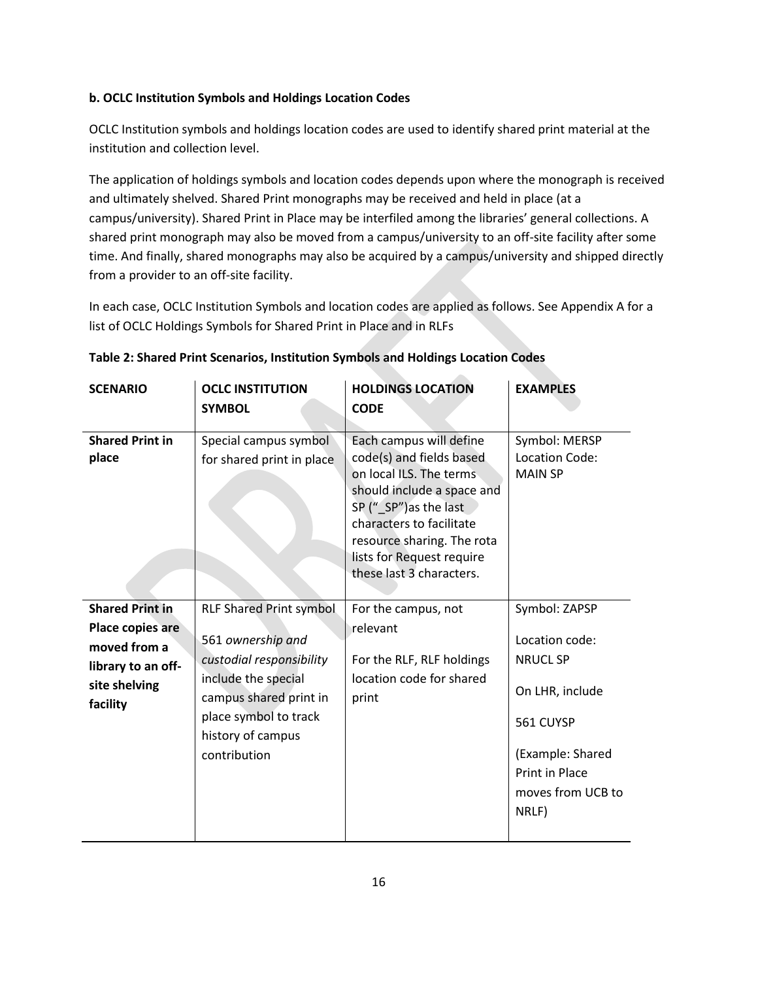## **b. OCLC Institution Symbols and Holdings Location Codes**

OCLC Institution symbols and holdings location codes are used to identify shared print material at the institution and collection level.

The application of holdings symbols and location codes depends upon where the monograph is received and ultimately shelved. Shared Print monographs may be received and held in place (at a campus/university). Shared Print in Place may be interfiled among the libraries' general collections. A shared print monograph may also be moved from a campus/university to an off-site facility after some time. And finally, shared monographs may also be acquired by a campus/university and shipped directly from a provider to an off-site facility.

In each case, OCLC Institution Symbols and location codes are applied as follows. See Appendix A for a list of OCLC Holdings Symbols for Shared Print in Place and in RLFs

| <b>SCENARIO</b>                                                                                               | <b>OCLC INSTITUTION</b><br><b>SYMBOL</b>                                                                                                                                                       | <b>HOLDINGS LOCATION</b><br><b>CODE</b>                                                                                                                                                                                                                  | <b>EXAMPLES</b>                                                                                                                                               |
|---------------------------------------------------------------------------------------------------------------|------------------------------------------------------------------------------------------------------------------------------------------------------------------------------------------------|----------------------------------------------------------------------------------------------------------------------------------------------------------------------------------------------------------------------------------------------------------|---------------------------------------------------------------------------------------------------------------------------------------------------------------|
| <b>Shared Print in</b><br>place                                                                               | Special campus symbol<br>for shared print in place                                                                                                                                             | Each campus will define<br>code(s) and fields based<br>on local ILS. The terms<br>should include a space and<br>SP ("SP") as the last<br>characters to facilitate<br>resource sharing. The rota<br>lists for Request require<br>these last 3 characters. | Symbol: MERSP<br>Location Code:<br><b>MAIN SP</b>                                                                                                             |
| <b>Shared Print in</b><br>Place copies are<br>moved from a<br>library to an off-<br>site shelving<br>facility | <b>RLF Shared Print symbol</b><br>561 ownership and<br>custodial responsibility<br>include the special<br>campus shared print in<br>place symbol to track<br>history of campus<br>contribution | For the campus, not<br>relevant<br>For the RLF, RLF holdings<br>location code for shared<br>print                                                                                                                                                        | Symbol: ZAPSP<br>Location code:<br><b>NRUCL SP</b><br>On LHR, include<br>561 CUYSP<br>(Example: Shared<br><b>Print in Place</b><br>moves from UCB to<br>NRLF) |

## **Table 2: Shared Print Scenarios, Institution Symbols and Holdings Location Codes**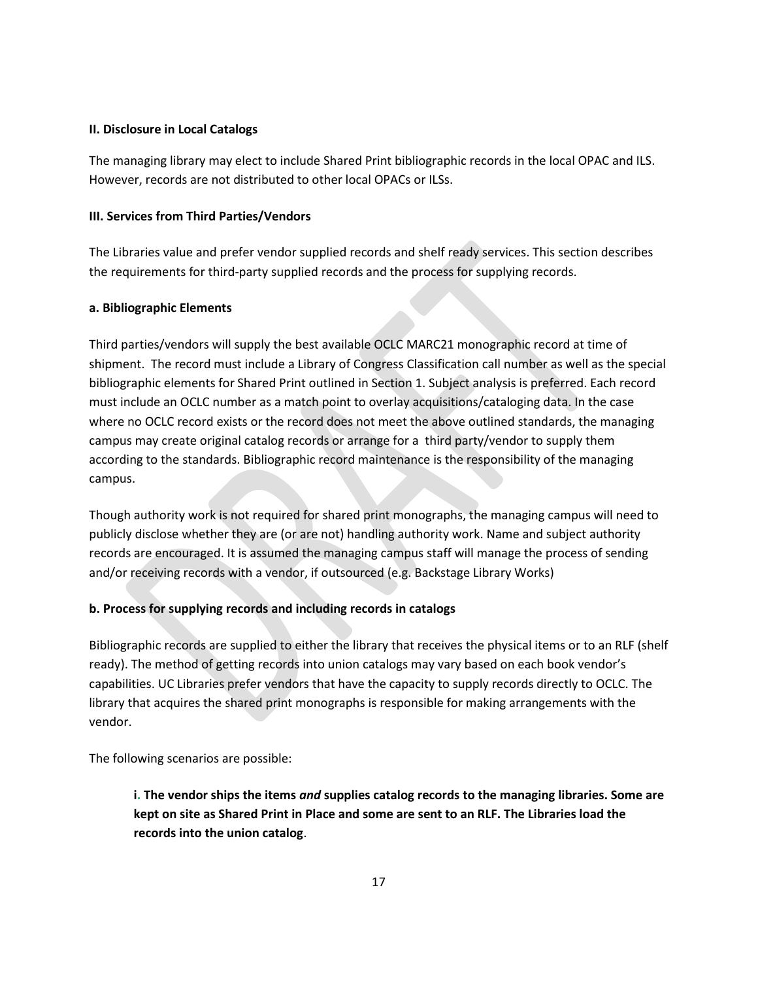#### **II. Disclosure in Local Catalogs**

The managing library may elect to include Shared Print bibliographic records in the local OPAC and ILS. However, records are not distributed to other local OPACs or ILSs.

## **III. Services from Third Parties/Vendors**

The Libraries value and prefer vendor supplied records and shelf ready services. This section describes the requirements for third-party supplied records and the process for supplying records.

## **a. Bibliographic Elements**

Third parties/vendors will supply the best available OCLC MARC21 monographic record at time of shipment. The record must include a Library of Congress Classification call number as well as the special bibliographic elements for Shared Print outlined in Section 1. Subject analysis is preferred. Each record must include an OCLC number as a match point to overlay acquisitions/cataloging data. In the case where no OCLC record exists or the record does not meet the above outlined standards, the managing campus may create original catalog records or arrange for a third party/vendor to supply them according to the standards. Bibliographic record maintenance is the responsibility of the managing campus.

Though authority work is not required for shared print monographs, the managing campus will need to publicly disclose whether they are (or are not) handling authority work. Name and subject authority records are encouraged. It is assumed the managing campus staff will manage the process of sending and/or receiving records with a vendor, if outsourced (e.g. Backstage Library Works)

## **b. Process for supplying records and including records in catalogs**

Bibliographic records are supplied to either the library that receives the physical items or to an RLF (shelf ready). The method of getting records into union catalogs may vary based on each book vendor's capabilities. UC Libraries prefer vendors that have the capacity to supply records directly to OCLC. The library that acquires the shared print monographs is responsible for making arrangements with the vendor.

The following scenarios are possible:

**i. The vendor ships the items** *and* **supplies catalog records to the managing libraries. Some are kept on site as Shared Print in Place and some are sent to an RLF. The Libraries load the records into the union catalog**.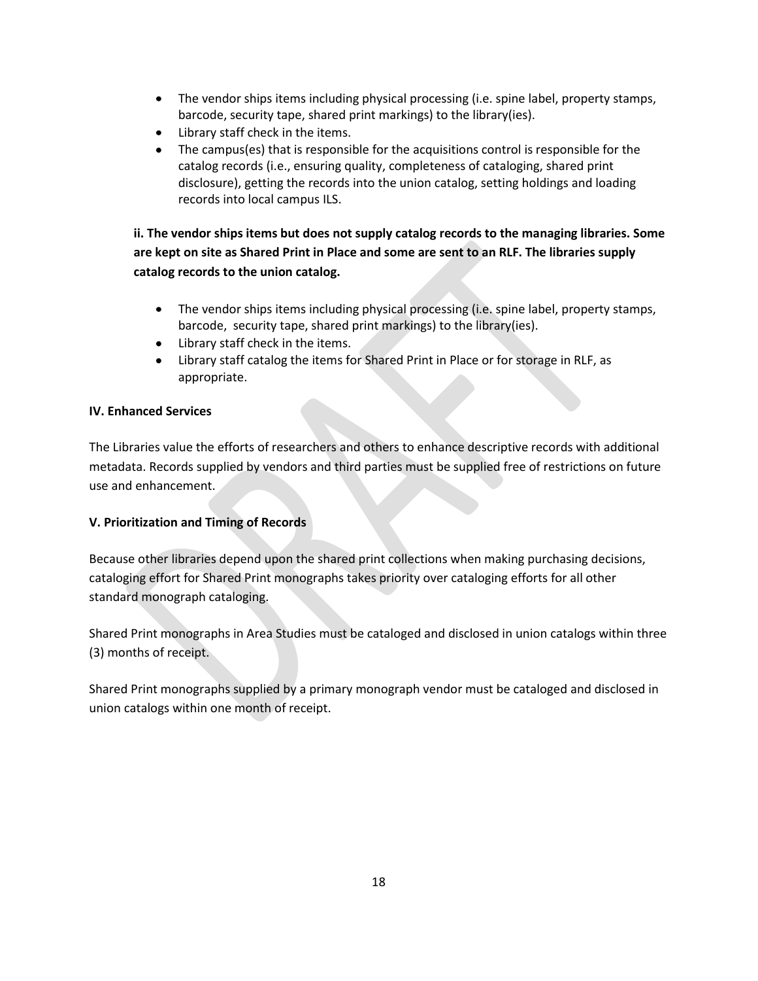- The vendor ships items including physical processing (i.e. spine label, property stamps, barcode, security tape, shared print markings) to the library(ies).
- Library staff check in the items.
- The campus(es) that is responsible for the acquisitions control is responsible for the  $\bullet$ catalog records (i.e., ensuring quality, completeness of cataloging, shared print disclosure), getting the records into the union catalog, setting holdings and loading records into local campus ILS.

**ii. The vendor ships items but does not supply catalog records to the managing libraries. Some are kept on site as Shared Print in Place and some are sent to an RLF. The libraries supply catalog records to the union catalog.**

- The vendor ships items including physical processing (i.e. spine label, property stamps, barcode, security tape, shared print markings) to the library(ies).
- Library staff check in the items.
- Library staff catalog the items for Shared Print in Place or for storage in RLF, as  $\bullet$ appropriate.

## **IV. Enhanced Services**

The Libraries value the efforts of researchers and others to enhance descriptive records with additional metadata. Records supplied by vendors and third parties must be supplied free of restrictions on future use and enhancement.

## **V. Prioritization and Timing of Records**

Because other libraries depend upon the shared print collections when making purchasing decisions, cataloging effort for Shared Print monographs takes priority over cataloging efforts for all other standard monograph cataloging.

Shared Print monographs in Area Studies must be cataloged and disclosed in union catalogs within three (3) months of receipt.

Shared Print monographs supplied by a primary monograph vendor must be cataloged and disclosed in union catalogs within one month of receipt.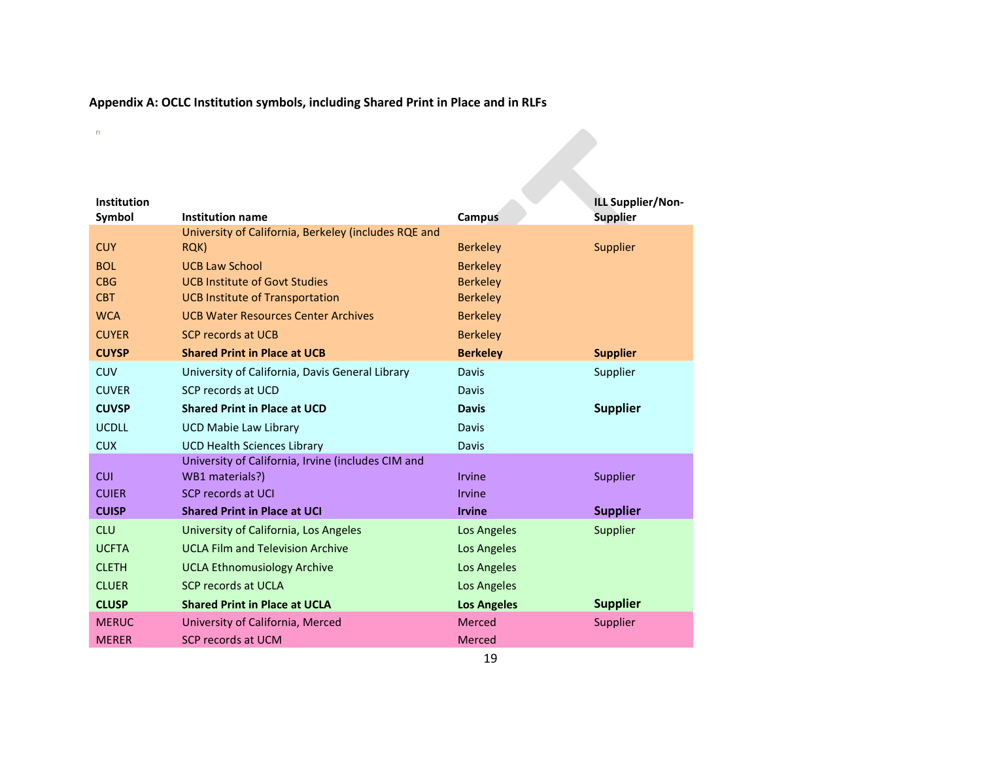## **Appendix A: OCLC Institution symbols, including Shared Print in Place and in RLFs**

|                                                    |                                                                                                                                                                                                                                                                                                                                              | ILL Supplier/Non-                                                                                                                                                        |
|----------------------------------------------------|----------------------------------------------------------------------------------------------------------------------------------------------------------------------------------------------------------------------------------------------------------------------------------------------------------------------------------------------|--------------------------------------------------------------------------------------------------------------------------------------------------------------------------|
| Institution name                                   |                                                                                                                                                                                                                                                                                                                                              | <b>Supplier</b>                                                                                                                                                          |
|                                                    |                                                                                                                                                                                                                                                                                                                                              |                                                                                                                                                                          |
|                                                    |                                                                                                                                                                                                                                                                                                                                              | Supplier                                                                                                                                                                 |
|                                                    |                                                                                                                                                                                                                                                                                                                                              |                                                                                                                                                                          |
|                                                    |                                                                                                                                                                                                                                                                                                                                              |                                                                                                                                                                          |
|                                                    |                                                                                                                                                                                                                                                                                                                                              |                                                                                                                                                                          |
|                                                    |                                                                                                                                                                                                                                                                                                                                              |                                                                                                                                                                          |
|                                                    |                                                                                                                                                                                                                                                                                                                                              |                                                                                                                                                                          |
|                                                    |                                                                                                                                                                                                                                                                                                                                              | <b>Supplier</b>                                                                                                                                                          |
|                                                    | Davis                                                                                                                                                                                                                                                                                                                                        | Supplier                                                                                                                                                                 |
| SCP records at UCD                                 | Davis                                                                                                                                                                                                                                                                                                                                        |                                                                                                                                                                          |
| <b>Shared Print in Place at UCD</b>                | <b>Davis</b>                                                                                                                                                                                                                                                                                                                                 | <b>Supplier</b>                                                                                                                                                          |
| <b>UCD Mabie Law Library</b>                       | Davis                                                                                                                                                                                                                                                                                                                                        |                                                                                                                                                                          |
| <b>UCD Health Sciences Library</b>                 | Davis                                                                                                                                                                                                                                                                                                                                        |                                                                                                                                                                          |
| University of California, Irvine (includes CIM and |                                                                                                                                                                                                                                                                                                                                              |                                                                                                                                                                          |
| WB1 materials?)                                    | Irvine                                                                                                                                                                                                                                                                                                                                       | Supplier                                                                                                                                                                 |
| SCP records at UCI                                 | Irvine                                                                                                                                                                                                                                                                                                                                       |                                                                                                                                                                          |
| <b>Shared Print in Place at UCI</b>                | <b>Irvine</b>                                                                                                                                                                                                                                                                                                                                | <b>Supplier</b>                                                                                                                                                          |
| University of California, Los Angeles              | Los Angeles                                                                                                                                                                                                                                                                                                                                  | Supplier                                                                                                                                                                 |
| <b>UCLA Film and Television Archive</b>            | Los Angeles                                                                                                                                                                                                                                                                                                                                  |                                                                                                                                                                          |
| <b>UCLA Ethnomusiology Archive</b>                 | Los Angeles                                                                                                                                                                                                                                                                                                                                  |                                                                                                                                                                          |
| <b>SCP records at UCLA</b>                         | Los Angeles                                                                                                                                                                                                                                                                                                                                  |                                                                                                                                                                          |
| <b>Shared Print in Place at UCLA</b>               |                                                                                                                                                                                                                                                                                                                                              | <b>Supplier</b>                                                                                                                                                          |
| University of California, Merced                   | <b>Merced</b>                                                                                                                                                                                                                                                                                                                                | Supplier                                                                                                                                                                 |
| SCP records at UCM                                 | Merced                                                                                                                                                                                                                                                                                                                                       |                                                                                                                                                                          |
|                                                    | University of California, Berkeley (includes RQE and<br>RQK)<br><b>UCB Law School</b><br><b>UCB Institute of Govt Studies</b><br><b>UCB Institute of Transportation</b><br><b>UCB Water Resources Center Archives</b><br><b>SCP records at UCB</b><br><b>Shared Print in Place at UCB</b><br>University of California, Davis General Library | <b>Campus</b><br><b>Berkeley</b><br><b>Berkeley</b><br><b>Berkeley</b><br><b>Berkeley</b><br><b>Berkeley</b><br><b>Berkeley</b><br><b>Berkeley</b><br><b>Los Angeles</b> |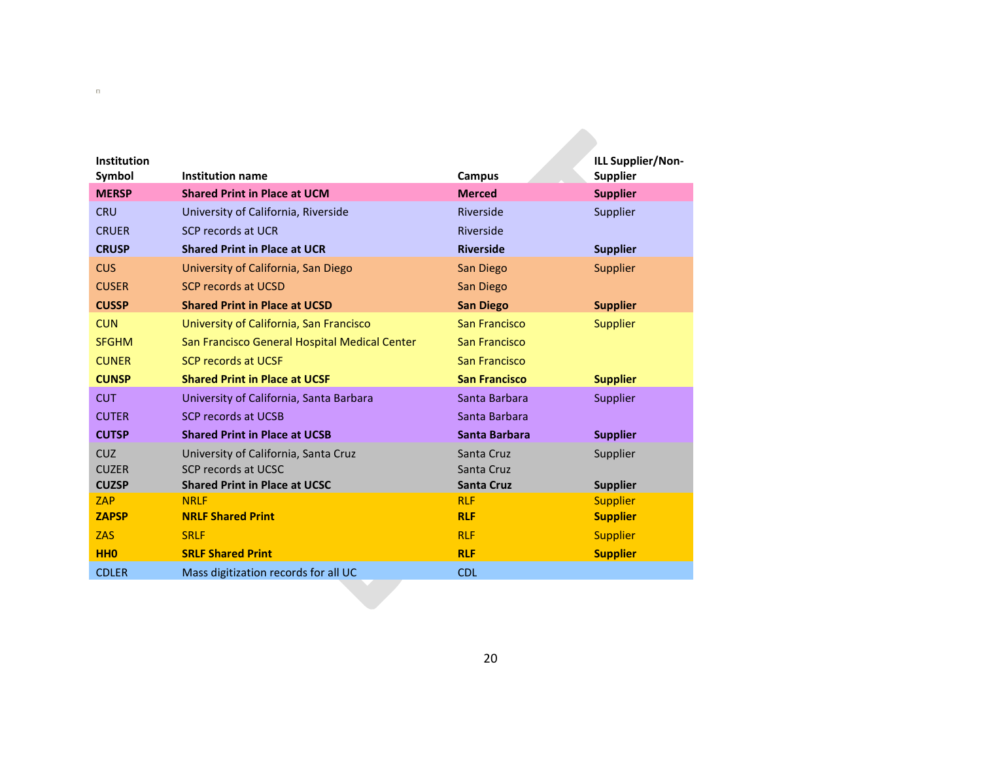| <b>Institution</b><br>Symbol | <b>Institution name</b>                       | Campus               | ILL Supplier/Non-<br><b>Supplier</b> |
|------------------------------|-----------------------------------------------|----------------------|--------------------------------------|
| <b>MERSP</b>                 | <b>Shared Print in Place at UCM</b>           | <b>Merced</b>        | <b>Supplier</b>                      |
| <b>CRU</b>                   | University of California, Riverside           | Riverside            | Supplier                             |
| <b>CRUER</b>                 | <b>SCP records at UCR</b>                     | Riverside            |                                      |
| <b>CRUSP</b>                 | <b>Shared Print in Place at UCR</b>           | <b>Riverside</b>     | <b>Supplier</b>                      |
| <b>CUS</b>                   | University of California, San Diego           | San Diego            | <b>Supplier</b>                      |
| <b>CUSER</b>                 | <b>SCP records at UCSD</b>                    | San Diego            |                                      |
| <b>CUSSP</b>                 | <b>Shared Print in Place at UCSD</b>          | <b>San Diego</b>     | <b>Supplier</b>                      |
| <b>CUN</b>                   | University of California, San Francisco       | <b>San Francisco</b> | <b>Supplier</b>                      |
| <b>SFGHM</b>                 | San Francisco General Hospital Medical Center | San Francisco        |                                      |
| <b>CUNER</b>                 | <b>SCP records at UCSF</b>                    | <b>San Francisco</b> |                                      |
| <b>CUNSP</b>                 | <b>Shared Print in Place at UCSF</b>          | <b>San Francisco</b> | <b>Supplier</b>                      |
| <b>CUT</b>                   | University of California, Santa Barbara       | Santa Barbara        | <b>Supplier</b>                      |
| <b>CUTER</b>                 | <b>SCP records at UCSB</b>                    | Santa Barbara        |                                      |
| <b>CUTSP</b>                 | <b>Shared Print in Place at UCSB</b>          | Santa Barbara        | <b>Supplier</b>                      |
| <b>CUZ</b>                   | University of California, Santa Cruz          | Santa Cruz           | Supplier                             |
| <b>CUZER</b>                 | SCP records at UCSC                           | Santa Cruz           |                                      |
| <b>CUZSP</b>                 | <b>Shared Print in Place at UCSC</b>          | <b>Santa Cruz</b>    | <b>Supplier</b>                      |
| ZAP                          | <b>NRLF</b>                                   | <b>RLF</b>           | <b>Supplier</b>                      |
| <b>ZAPSP</b>                 | <b>NRLF Shared Print</b>                      | <b>RLF</b>           | <b>Supplier</b>                      |
| <b>ZAS</b>                   | <b>SRLF</b>                                   | <b>RLF</b>           | <b>Supplier</b>                      |
| <b>HHO</b>                   | <b>SRLF Shared Print</b>                      | <b>RLF</b>           | <b>Supplier</b>                      |
| <b>CDLER</b>                 | Mass digitization records for all UC          | <b>CDL</b>           |                                      |
|                              |                                               |                      |                                      |

 $\overline{\mathbf{u}}$  . The state  $\overline{\mathbf{u}}$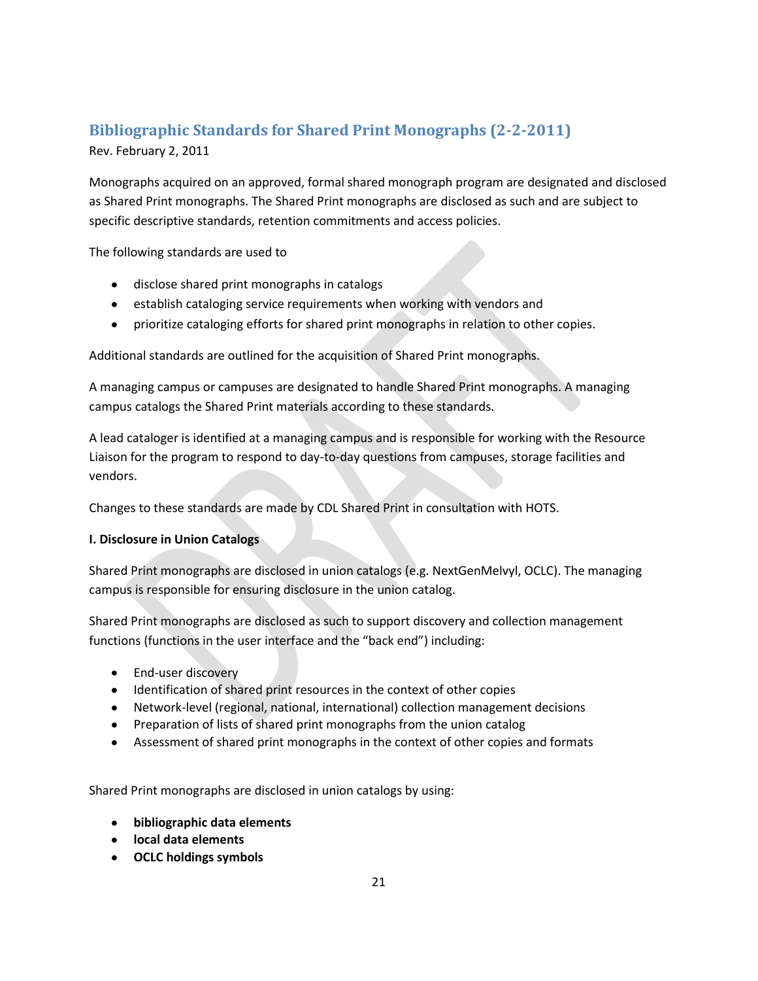## <span id="page-20-0"></span>**Bibliographic Standards for Shared Print Monographs (2-2-2011)**

Rev. February 2, 2011

Monographs acquired on an approved, formal shared monograph program are designated and disclosed as Shared Print monographs. The Shared Print monographs are disclosed as such and are subject to specific descriptive standards, retention commitments and access policies.

The following standards are used to

- disclose shared print monographs in catalogs
- **•** establish cataloging service requirements when working with vendors and
- prioritize cataloging efforts for shared print monographs in relation to other copies.

Additional standards are outlined for the acquisition of Shared Print monographs.

A managing campus or campuses are designated to handle Shared Print monographs. A managing campus catalogs the Shared Print materials according to these standards.

A lead cataloger is identified at a managing campus and is responsible for working with the Resource Liaison for the program to respond to day-to-day questions from campuses, storage facilities and vendors.

Changes to these standards are made by CDL Shared Print in consultation with HOTS.

## **I. Disclosure in Union Catalogs**

Shared Print monographs are disclosed in union catalogs (e.g. NextGenMelvyl, OCLC). The managing campus is responsible for ensuring disclosure in the union catalog.

Shared Print monographs are disclosed as such to support discovery and collection management functions (functions in the user interface and the "back end") including:

- End-user discovery
- Identification of shared print resources in the context of other copies
- Network-level (regional, national, international) collection management decisions
- Preparation of lists of shared print monographs from the union catalog
- Assessment of shared print monographs in the context of other copies and formats

Shared Print monographs are disclosed in union catalogs by using:

- **bibliographic data elements**
- **local data elements**
- **OCLC holdings symbols**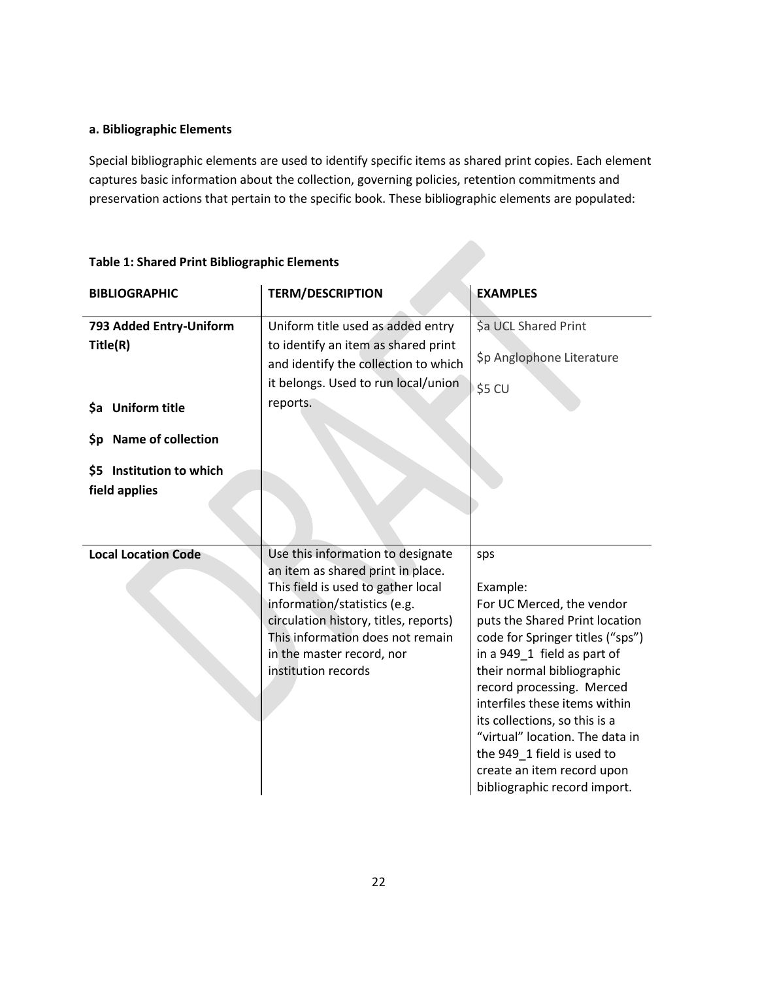## **a. Bibliographic Elements**

Special bibliographic elements are used to identify specific items as shared print copies. Each element captures basic information about the collection, governing policies, retention commitments and preservation actions that pertain to the specific book. These bibliographic elements are populated:

| <b>BIBLIOGRAPHIC</b>                                                                                                            | <b>TERM/DESCRIPTION</b>                                                                                                                                                                                                                                                       | <b>EXAMPLES</b>                                                                                                                                                                                                                                                                                                                                                                                               |
|---------------------------------------------------------------------------------------------------------------------------------|-------------------------------------------------------------------------------------------------------------------------------------------------------------------------------------------------------------------------------------------------------------------------------|---------------------------------------------------------------------------------------------------------------------------------------------------------------------------------------------------------------------------------------------------------------------------------------------------------------------------------------------------------------------------------------------------------------|
| 793 Added Entry-Uniform<br>Title(R)<br>\$a Uniform title<br>\$p Name of collection<br>\$5 Institution to which<br>field applies | Uniform title used as added entry<br>to identify an item as shared print<br>and identify the collection to which<br>it belongs. Used to run local/union<br>reports.                                                                                                           | Sa UCL Shared Print<br>\$p Anglophone Literature<br>\$5 CU                                                                                                                                                                                                                                                                                                                                                    |
| <b>Local Location Code</b>                                                                                                      | Use this information to designate<br>an item as shared print in place.<br>This field is used to gather local<br>information/statistics (e.g.<br>circulation history, titles, reports)<br>This information does not remain<br>in the master record, nor<br>institution records | sps<br>Example:<br>For UC Merced, the vendor<br>puts the Shared Print location<br>code for Springer titles ("sps")<br>in a 949_1 field as part of<br>their normal bibliographic<br>record processing. Merced<br>interfiles these items within<br>its collections, so this is a<br>"virtual" location. The data in<br>the 949_1 field is used to<br>create an item record upon<br>bibliographic record import. |

## **Table 1: Shared Print Bibliographic Elements**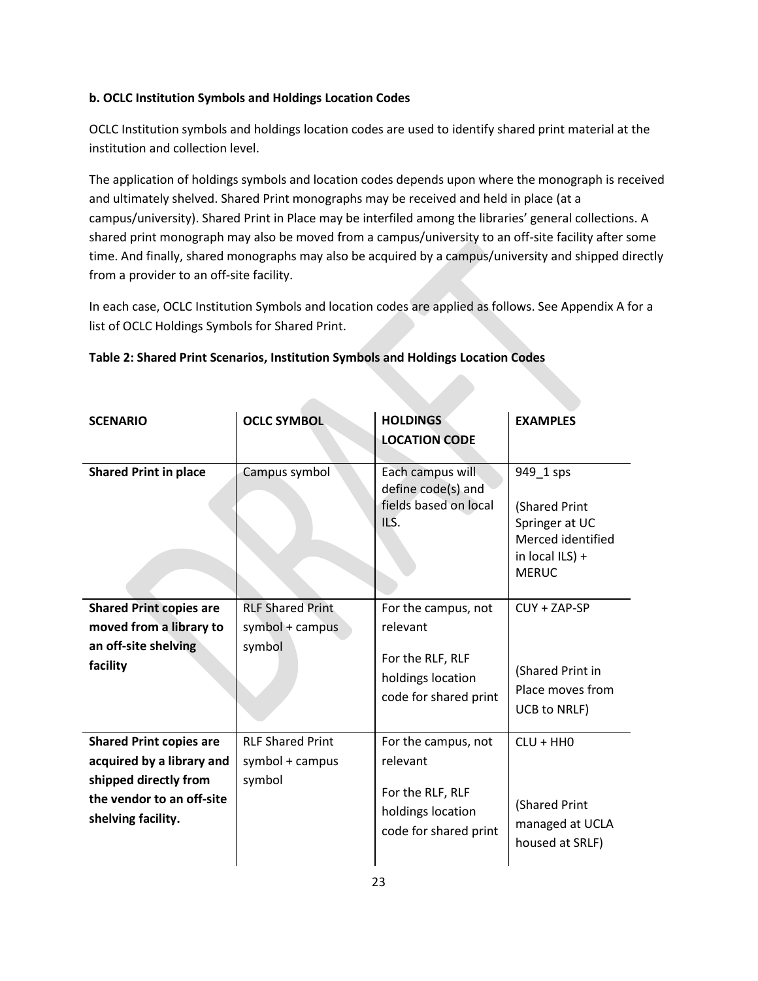## **b. OCLC Institution Symbols and Holdings Location Codes**

OCLC Institution symbols and holdings location codes are used to identify shared print material at the institution and collection level.

The application of holdings symbols and location codes depends upon where the monograph is received and ultimately shelved. Shared Print monographs may be received and held in place (at a campus/university). Shared Print in Place may be interfiled among the libraries' general collections. A shared print monograph may also be moved from a campus/university to an off-site facility after some time. And finally, shared monographs may also be acquired by a campus/university and shipped directly from a provider to an off-site facility.

In each case, OCLC Institution Symbols and location codes are applied as follows. See Appendix A for a list of OCLC Holdings Symbols for Shared Print.

| <b>SCENARIO</b>                                                                                                                         | <b>OCLC SYMBOL</b>                                   | <b>HOLDINGS</b><br><b>LOCATION CODE</b>                                                           | <b>EXAMPLES</b>                                                                                      |
|-----------------------------------------------------------------------------------------------------------------------------------------|------------------------------------------------------|---------------------------------------------------------------------------------------------------|------------------------------------------------------------------------------------------------------|
| <b>Shared Print in place</b>                                                                                                            | Campus symbol                                        | Each campus will<br>define code(s) and<br>fields based on local<br>ILS.                           | 949 1 sps<br>(Shared Print<br>Springer at UC<br>Merced identified<br>in local ILS) +<br><b>MERUC</b> |
| <b>Shared Print copies are</b><br>moved from a library to<br>an off-site shelving<br>facility                                           | <b>RLF Shared Print</b><br>symbol + campus<br>symbol | For the campus, not<br>relevant<br>For the RLF, RLF<br>holdings location<br>code for shared print | $CUY + ZAP-SP$<br>(Shared Print in<br>Place moves from<br>UCB to NRLF)                               |
| <b>Shared Print copies are</b><br>acquired by a library and<br>shipped directly from<br>the vendor to an off-site<br>shelving facility. | <b>RLF Shared Print</b><br>symbol + campus<br>symbol | For the campus, not<br>relevant<br>For the RLF, RLF<br>holdings location<br>code for shared print | $CLU + HHO$<br>(Shared Print<br>managed at UCLA<br>housed at SRLF)                                   |

## **Table 2: Shared Print Scenarios, Institution Symbols and Holdings Location Codes**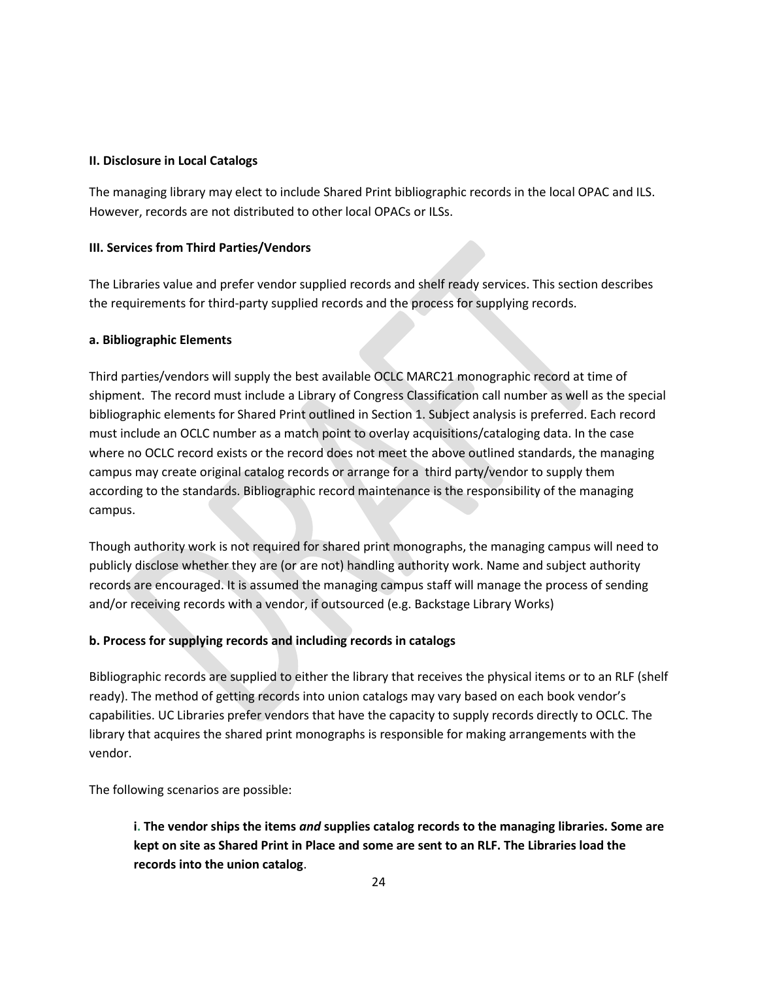#### **II. Disclosure in Local Catalogs**

The managing library may elect to include Shared Print bibliographic records in the local OPAC and ILS. However, records are not distributed to other local OPACs or ILSs.

## **III. Services from Third Parties/Vendors**

The Libraries value and prefer vendor supplied records and shelf ready services. This section describes the requirements for third-party supplied records and the process for supplying records.

#### **a. Bibliographic Elements**

Third parties/vendors will supply the best available OCLC MARC21 monographic record at time of shipment. The record must include a Library of Congress Classification call number as well as the special bibliographic elements for Shared Print outlined in Section 1. Subject analysis is preferred. Each record must include an OCLC number as a match point to overlay acquisitions/cataloging data. In the case where no OCLC record exists or the record does not meet the above outlined standards, the managing campus may create original catalog records or arrange for a third party/vendor to supply them according to the standards. Bibliographic record maintenance is the responsibility of the managing campus.

Though authority work is not required for shared print monographs, the managing campus will need to publicly disclose whether they are (or are not) handling authority work. Name and subject authority records are encouraged. It is assumed the managing campus staff will manage the process of sending and/or receiving records with a vendor, if outsourced (e.g. Backstage Library Works)

## **b. Process for supplying records and including records in catalogs**

Bibliographic records are supplied to either the library that receives the physical items or to an RLF (shelf ready). The method of getting records into union catalogs may vary based on each book vendor's capabilities. UC Libraries prefer vendors that have the capacity to supply records directly to OCLC. The library that acquires the shared print monographs is responsible for making arrangements with the vendor.

The following scenarios are possible:

**i. The vendor ships the items** *and* **supplies catalog records to the managing libraries. Some are kept on site as Shared Print in Place and some are sent to an RLF. The Libraries load the records into the union catalog**.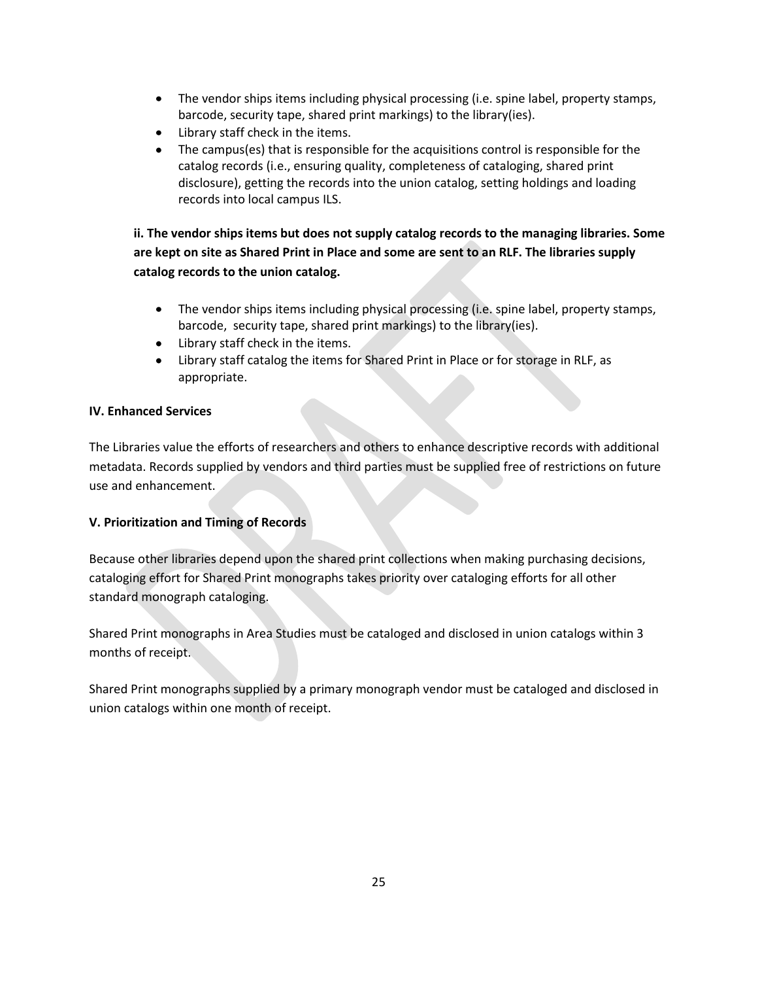- The vendor ships items including physical processing (i.e. spine label, property stamps, barcode, security tape, shared print markings) to the library(ies).
- Library staff check in the items.
- The campus(es) that is responsible for the acquisitions control is responsible for the  $\bullet$ catalog records (i.e., ensuring quality, completeness of cataloging, shared print disclosure), getting the records into the union catalog, setting holdings and loading records into local campus ILS.

**ii. The vendor ships items but does not supply catalog records to the managing libraries. Some are kept on site as Shared Print in Place and some are sent to an RLF. The libraries supply catalog records to the union catalog.**

- The vendor ships items including physical processing (i.e. spine label, property stamps, barcode, security tape, shared print markings) to the library(ies).
- Library staff check in the items.
- Library staff catalog the items for Shared Print in Place or for storage in RLF, as  $\bullet$ appropriate.

## **IV. Enhanced Services**

The Libraries value the efforts of researchers and others to enhance descriptive records with additional metadata. Records supplied by vendors and third parties must be supplied free of restrictions on future use and enhancement.

## **V. Prioritization and Timing of Records**

Because other libraries depend upon the shared print collections when making purchasing decisions, cataloging effort for Shared Print monographs takes priority over cataloging efforts for all other standard monograph cataloging.

Shared Print monographs in Area Studies must be cataloged and disclosed in union catalogs within 3 months of receipt.

Shared Print monographs supplied by a primary monograph vendor must be cataloged and disclosed in union catalogs within one month of receipt.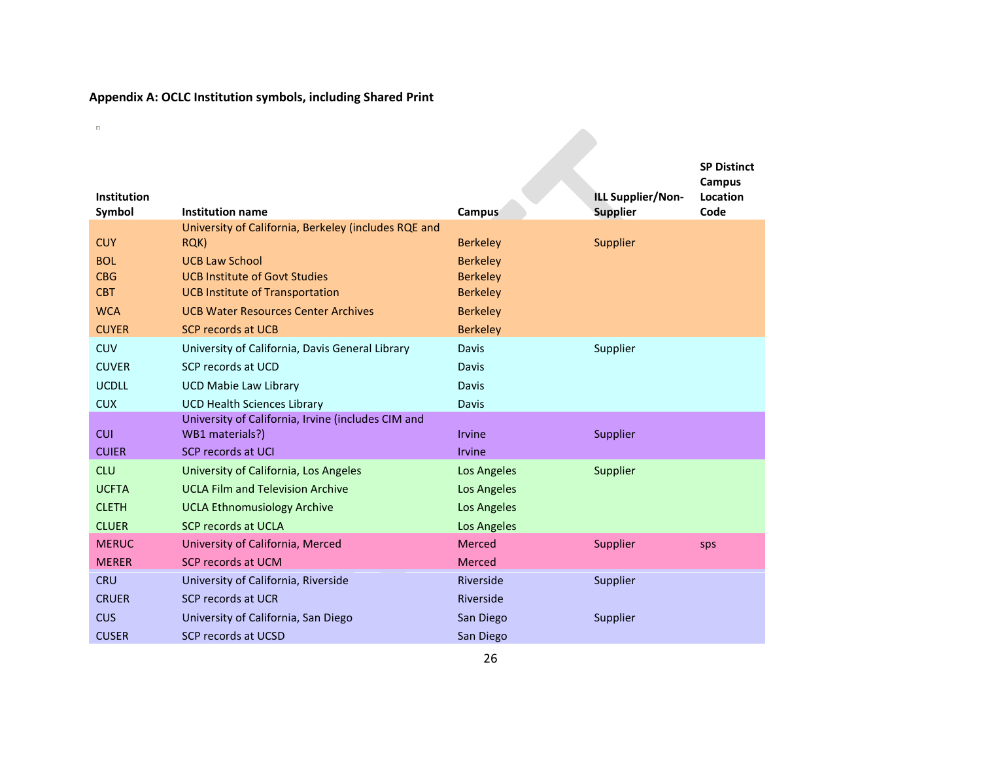## **Appendix A: OCLC Institution symbols, including Shared Print**

 $\mathbf{u}$ 

| <b>Institution</b><br>Symbol | <b>Institution name</b>                              | Campus          | ILL Supplier/Non-<br><b>Supplier</b> | <b>SP Distinct</b><br>Campus<br>Location<br>Code |
|------------------------------|------------------------------------------------------|-----------------|--------------------------------------|--------------------------------------------------|
|                              | University of California, Berkeley (includes RQE and |                 |                                      |                                                  |
| <b>CUY</b>                   | RQK)                                                 | <b>Berkeley</b> | Supplier                             |                                                  |
| <b>BOL</b>                   | <b>UCB Law School</b>                                | <b>Berkeley</b> |                                      |                                                  |
| <b>CBG</b>                   | <b>UCB Institute of Govt Studies</b>                 | <b>Berkeley</b> |                                      |                                                  |
| <b>CBT</b>                   | <b>UCB Institute of Transportation</b>               | <b>Berkeley</b> |                                      |                                                  |
| <b>WCA</b>                   | <b>UCB Water Resources Center Archives</b>           | <b>Berkeley</b> |                                      |                                                  |
| <b>CUYER</b>                 | <b>SCP records at UCB</b>                            | <b>Berkeley</b> |                                      |                                                  |
| <b>CUV</b>                   | University of California, Davis General Library      | <b>Davis</b>    | Supplier                             |                                                  |
| <b>CUVER</b>                 | SCP records at UCD                                   | <b>Davis</b>    |                                      |                                                  |
| <b>UCDLL</b>                 | <b>UCD Mabie Law Library</b>                         | <b>Davis</b>    |                                      |                                                  |
| <b>CUX</b>                   | <b>UCD Health Sciences Library</b>                   | <b>Davis</b>    |                                      |                                                  |
|                              | University of California, Irvine (includes CIM and   |                 |                                      |                                                  |
| <b>CUI</b>                   | WB1 materials?)                                      | <b>Irvine</b>   | Supplier                             |                                                  |
| <b>CUIER</b>                 | SCP records at UCI                                   | <b>Irvine</b>   |                                      |                                                  |
| <b>CLU</b>                   | University of California, Los Angeles                | Los Angeles     | Supplier                             |                                                  |
| <b>UCFTA</b>                 | <b>UCLA Film and Television Archive</b>              | Los Angeles     |                                      |                                                  |
| <b>CLETH</b>                 | <b>UCLA Ethnomusiology Archive</b>                   | Los Angeles     |                                      |                                                  |
| <b>CLUER</b>                 | <b>SCP records at UCLA</b>                           | Los Angeles     |                                      |                                                  |
| <b>MERUC</b>                 | University of California, Merced                     | Merced          | Supplier                             | sps                                              |
| <b>MERER</b>                 | <b>SCP records at UCM</b>                            | Merced          |                                      |                                                  |
| <b>CRU</b>                   | University of California, Riverside                  | Riverside       | Supplier                             |                                                  |
| <b>CRUER</b>                 | <b>SCP records at UCR</b>                            | Riverside       |                                      |                                                  |
| <b>CUS</b>                   | University of California, San Diego                  | San Diego       | Supplier                             |                                                  |
| <b>CUSER</b>                 | <b>SCP records at UCSD</b>                           | San Diego       |                                      |                                                  |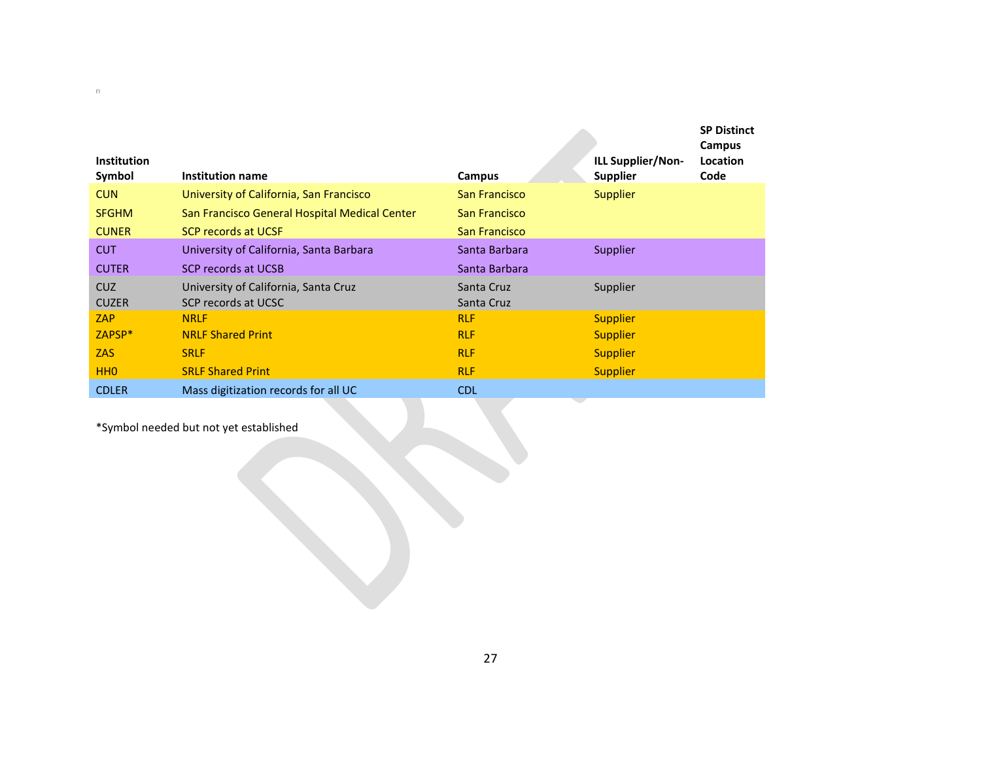|                              |                                               |               |                                             | <b>SP Distinct</b><br>Campus |
|------------------------------|-----------------------------------------------|---------------|---------------------------------------------|------------------------------|
| <b>Institution</b><br>Symbol | Institution name                              | Campus        | <b>ILL Supplier/Non-</b><br><b>Supplier</b> | Location<br>Code             |
| <b>CUN</b>                   | University of California, San Francisco       | San Francisco | <b>Supplier</b>                             |                              |
| <b>SFGHM</b>                 | San Francisco General Hospital Medical Center | San Francisco |                                             |                              |
| <b>CUNER</b>                 | <b>SCP records at UCSF</b>                    | San Francisco |                                             |                              |
| <b>CUT</b>                   | University of California, Santa Barbara       | Santa Barbara | Supplier                                    |                              |
| <b>CUTER</b>                 | <b>SCP records at UCSB</b>                    | Santa Barbara |                                             |                              |
| CUZ.                         | University of California, Santa Cruz          | Santa Cruz    | Supplier                                    |                              |
| <b>CUZER</b>                 | SCP records at UCSC                           | Santa Cruz    |                                             |                              |
| <b>ZAP</b>                   | <b>NRLF</b>                                   | <b>RLF</b>    | <b>Supplier</b>                             |                              |
| ZAPSP <sup>*</sup>           | <b>NRLF Shared Print</b>                      | <b>RLF</b>    | <b>Supplier</b>                             |                              |
| <b>ZAS</b>                   | <b>SRLF</b>                                   | <b>RLF</b>    | <b>Supplier</b>                             |                              |
| HH <sub>0</sub>              | <b>SRLF Shared Print</b>                      | <b>RLF</b>    | <b>Supplier</b>                             |                              |
| <b>CDLER</b>                 | Mass digitization records for all UC          | <b>CDL</b>    |                                             |                              |

\*Symbol needed but not yet established

 $\Box$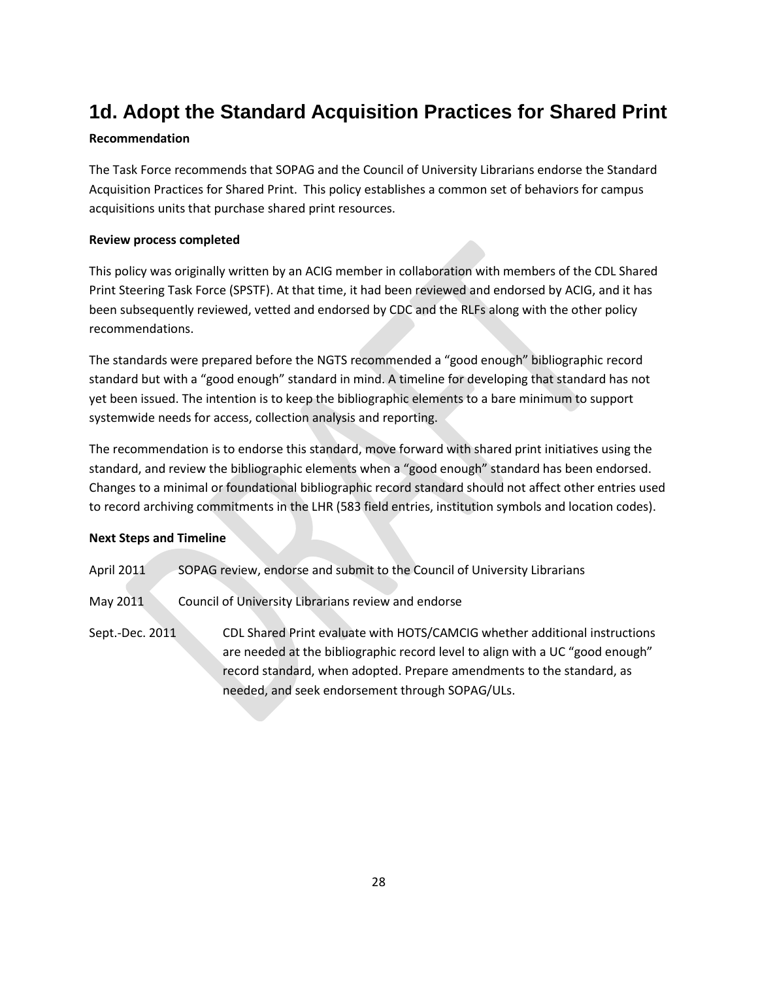# <span id="page-27-0"></span>**1d. Adopt the Standard Acquisition Practices for Shared Print**

## **Recommendation**

The Task Force recommends that SOPAG and the Council of University Librarians endorse the Standard Acquisition Practices for Shared Print. This policy establishes a common set of behaviors for campus acquisitions units that purchase shared print resources.

## **Review process completed**

This policy was originally written by an ACIG member in collaboration with members of the CDL Shared Print Steering Task Force (SPSTF). At that time, it had been reviewed and endorsed by ACIG, and it has been subsequently reviewed, vetted and endorsed by CDC and the RLFs along with the other policy recommendations.

The standards were prepared before the NGTS recommended a "good enough" bibliographic record standard but with a "good enough" standard in mind. A timeline for developing that standard has not yet been issued. The intention is to keep the bibliographic elements to a bare minimum to support systemwide needs for access, collection analysis and reporting.

The recommendation is to endorse this standard, move forward with shared print initiatives using the standard, and review the bibliographic elements when a "good enough" standard has been endorsed. Changes to a minimal or foundational bibliographic record standard should not affect other entries used to record archiving commitments in the LHR (583 field entries, institution symbols and location codes).

## **Next Steps and Timeline**

- April 2011 SOPAG review, endorse and submit to the Council of University Librarians
- May 2011 Council of University Librarians review and endorse

Sept.-Dec. 2011 CDL Shared Print evaluate with HOTS/CAMCIG whether additional instructions are needed at the bibliographic record level to align with a UC "good enough" record standard, when adopted. Prepare amendments to the standard, as needed, and seek endorsement through SOPAG/ULs.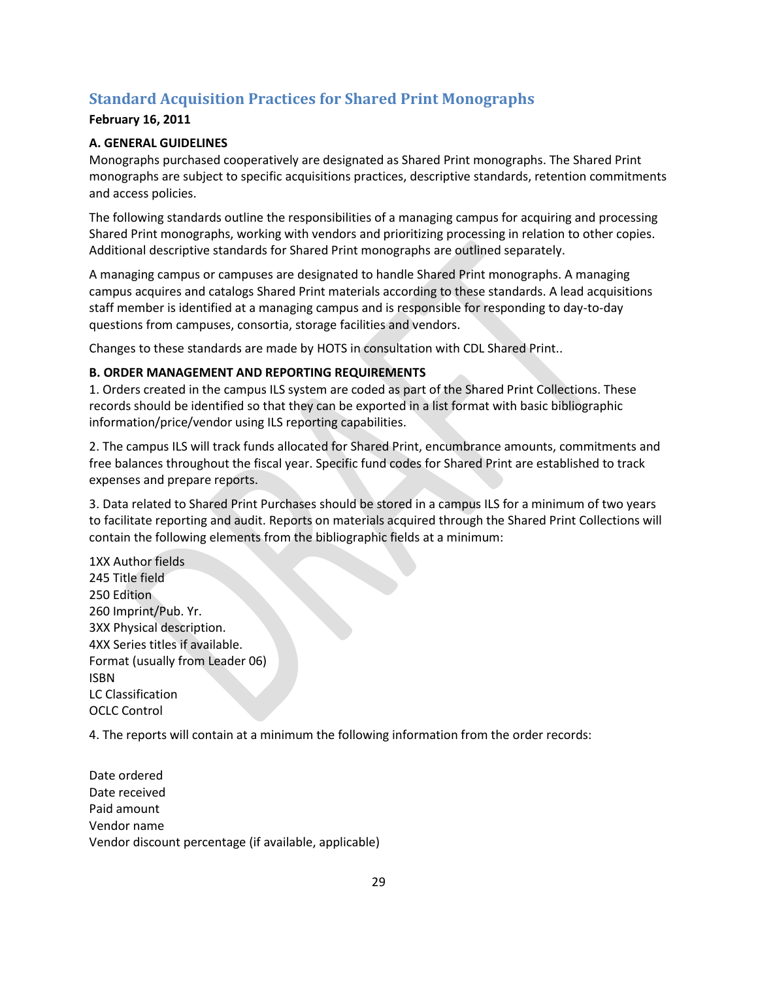## <span id="page-28-0"></span>**Standard Acquisition Practices for Shared Print Monographs**

## **February 16, 2011**

## **A. GENERAL GUIDELINES**

Monographs purchased cooperatively are designated as Shared Print monographs. The Shared Print monographs are subject to specific acquisitions practices, descriptive standards, retention commitments and access policies.

The following standards outline the responsibilities of a managing campus for acquiring and processing Shared Print monographs, working with vendors and prioritizing processing in relation to other copies. Additional descriptive standards for Shared Print monographs are outlined separately.

A managing campus or campuses are designated to handle Shared Print monographs. A managing campus acquires and catalogs Shared Print materials according to these standards. A lead acquisitions staff member is identified at a managing campus and is responsible for responding to day-to-day questions from campuses, consortia, storage facilities and vendors.

Changes to these standards are made by HOTS in consultation with CDL Shared Print..

## **B. ORDER MANAGEMENT AND REPORTING REQUIREMENTS**

1. Orders created in the campus ILS system are coded as part of the Shared Print Collections. These records should be identified so that they can be exported in a list format with basic bibliographic information/price/vendor using ILS reporting capabilities.

2. The campus ILS will track funds allocated for Shared Print, encumbrance amounts, commitments and free balances throughout the fiscal year. Specific fund codes for Shared Print are established to track expenses and prepare reports.

3. Data related to Shared Print Purchases should be stored in a campus ILS for a minimum of two years to facilitate reporting and audit. Reports on materials acquired through the Shared Print Collections will contain the following elements from the bibliographic fields at a minimum:

1XX Author fields 245 Title field 250 Edition 260 Imprint/Pub. Yr. 3XX Physical description. 4XX Series titles if available. Format (usually from Leader 06) ISBN LC Classification OCLC Control

4. The reports will contain at a minimum the following information from the order records:

Date ordered Date received Paid amount Vendor name Vendor discount percentage (if available, applicable)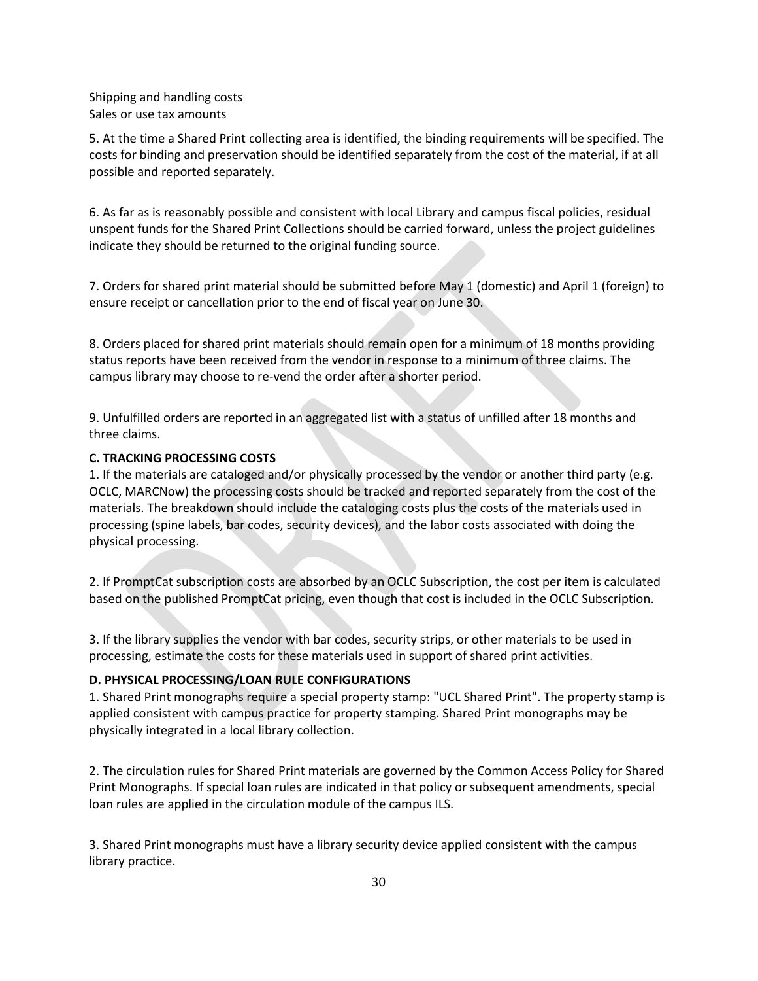Shipping and handling costs Sales or use tax amounts

5. At the time a Shared Print collecting area is identified, the binding requirements will be specified. The costs for binding and preservation should be identified separately from the cost of the material, if at all possible and reported separately.

6. As far as is reasonably possible and consistent with local Library and campus fiscal policies, residual unspent funds for the Shared Print Collections should be carried forward, unless the project guidelines indicate they should be returned to the original funding source.

7. Orders for shared print material should be submitted before May 1 (domestic) and April 1 (foreign) to ensure receipt or cancellation prior to the end of fiscal year on June 30.

8. Orders placed for shared print materials should remain open for a minimum of 18 months providing status reports have been received from the vendor in response to a minimum of three claims. The campus library may choose to re-vend the order after a shorter period.

9. Unfulfilled orders are reported in an aggregated list with a status of unfilled after 18 months and three claims.

#### **C. TRACKING PROCESSING COSTS**

1. If the materials are cataloged and/or physically processed by the vendor or another third party (e.g. OCLC, MARCNow) the processing costs should be tracked and reported separately from the cost of the materials. The breakdown should include the cataloging costs plus the costs of the materials used in processing (spine labels, bar codes, security devices), and the labor costs associated with doing the physical processing.

2. If PromptCat subscription costs are absorbed by an OCLC Subscription, the cost per item is calculated based on the published PromptCat pricing, even though that cost is included in the OCLC Subscription.

3. If the library supplies the vendor with bar codes, security strips, or other materials to be used in processing, estimate the costs for these materials used in support of shared print activities.

#### **D. PHYSICAL PROCESSING/LOAN RULE CONFIGURATIONS**

1. Shared Print monographs require a special property stamp: "UCL Shared Print". The property stamp is applied consistent with campus practice for property stamping. Shared Print monographs may be physically integrated in a local library collection.

2. The circulation rules for Shared Print materials are governed by the Common Access Policy for Shared Print Monographs. If special loan rules are indicated in that policy or subsequent amendments, special loan rules are applied in the circulation module of the campus ILS.

3. Shared Print monographs must have a library security device applied consistent with the campus library practice.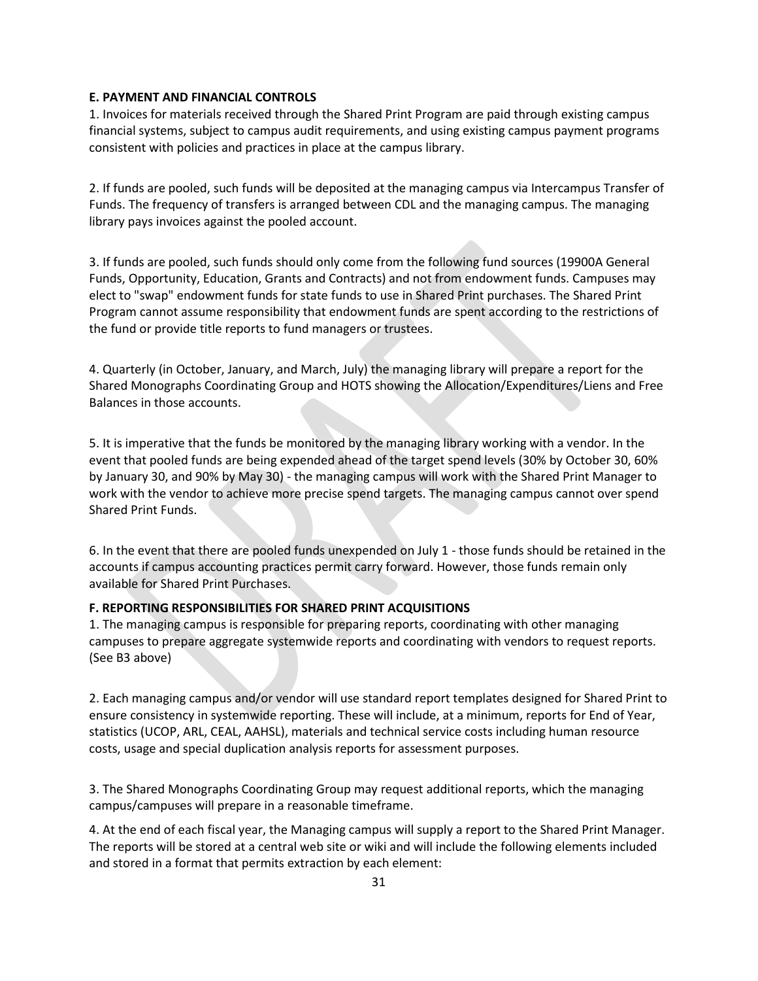#### **E. PAYMENT AND FINANCIAL CONTROLS**

1. Invoices for materials received through the Shared Print Program are paid through existing campus financial systems, subject to campus audit requirements, and using existing campus payment programs consistent with policies and practices in place at the campus library.

2. If funds are pooled, such funds will be deposited at the managing campus via Intercampus Transfer of Funds. The frequency of transfers is arranged between CDL and the managing campus. The managing library pays invoices against the pooled account.

3. If funds are pooled, such funds should only come from the following fund sources (19900A General Funds, Opportunity, Education, Grants and Contracts) and not from endowment funds. Campuses may elect to "swap" endowment funds for state funds to use in Shared Print purchases. The Shared Print Program cannot assume responsibility that endowment funds are spent according to the restrictions of the fund or provide title reports to fund managers or trustees.

4. Quarterly (in October, January, and March, July) the managing library will prepare a report for the Shared Monographs Coordinating Group and HOTS showing the Allocation/Expenditures/Liens and Free Balances in those accounts.

5. It is imperative that the funds be monitored by the managing library working with a vendor. In the event that pooled funds are being expended ahead of the target spend levels (30% by October 30, 60% by January 30, and 90% by May 30) - the managing campus will work with the Shared Print Manager to work with the vendor to achieve more precise spend targets. The managing campus cannot over spend Shared Print Funds.

6. In the event that there are pooled funds unexpended on July 1 - those funds should be retained in the accounts if campus accounting practices permit carry forward. However, those funds remain only available for Shared Print Purchases.

## **F. REPORTING RESPONSIBILITIES FOR SHARED PRINT ACQUISITIONS**

1. The managing campus is responsible for preparing reports, coordinating with other managing campuses to prepare aggregate systemwide reports and coordinating with vendors to request reports. (See B3 above)

2. Each managing campus and/or vendor will use standard report templates designed for Shared Print to ensure consistency in systemwide reporting. These will include, at a minimum, reports for End of Year, statistics (UCOP, ARL, CEAL, AAHSL), materials and technical service costs including human resource costs, usage and special duplication analysis reports for assessment purposes.

3. The Shared Monographs Coordinating Group may request additional reports, which the managing campus/campuses will prepare in a reasonable timeframe.

4. At the end of each fiscal year, the Managing campus will supply a report to the Shared Print Manager. The reports will be stored at a central web site or wiki and will include the following elements included and stored in a format that permits extraction by each element: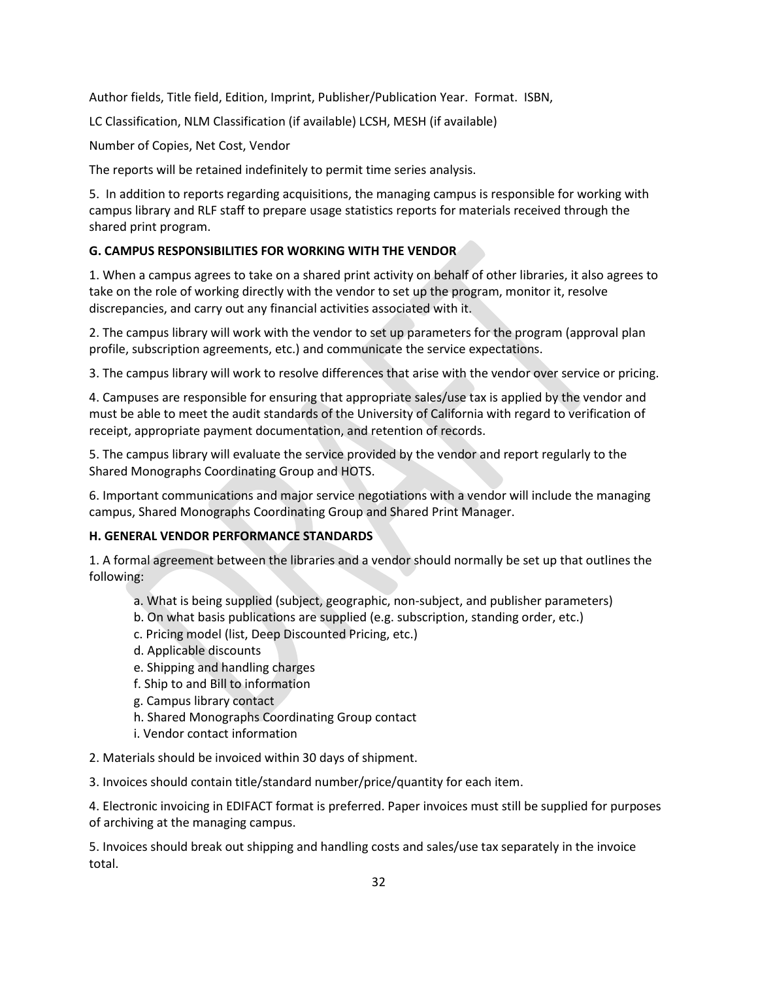Author fields, Title field, Edition, Imprint, Publisher/Publication Year. Format. ISBN,

LC Classification, NLM Classification (if available) LCSH, MESH (if available)

Number of Copies, Net Cost, Vendor

The reports will be retained indefinitely to permit time series analysis.

5. In addition to reports regarding acquisitions, the managing campus is responsible for working with campus library and RLF staff to prepare usage statistics reports for materials received through the shared print program.

## **G. CAMPUS RESPONSIBILITIES FOR WORKING WITH THE VENDOR**

1. When a campus agrees to take on a shared print activity on behalf of other libraries, it also agrees to take on the role of working directly with the vendor to set up the program, monitor it, resolve discrepancies, and carry out any financial activities associated with it.

2. The campus library will work with the vendor to set up parameters for the program (approval plan profile, subscription agreements, etc.) and communicate the service expectations.

3. The campus library will work to resolve differences that arise with the vendor over service or pricing.

4. Campuses are responsible for ensuring that appropriate sales/use tax is applied by the vendor and must be able to meet the audit standards of the University of California with regard to verification of receipt, appropriate payment documentation, and retention of records.

5. The campus library will evaluate the service provided by the vendor and report regularly to the Shared Monographs Coordinating Group and HOTS.

6. Important communications and major service negotiations with a vendor will include the managing campus, Shared Monographs Coordinating Group and Shared Print Manager.

## **H. GENERAL VENDOR PERFORMANCE STANDARDS**

1. A formal agreement between the libraries and a vendor should normally be set up that outlines the following:

- a. What is being supplied (subject, geographic, non-subject, and publisher parameters)
- b. On what basis publications are supplied (e.g. subscription, standing order, etc.)
- c. Pricing model (list, Deep Discounted Pricing, etc.)
- d. Applicable discounts
- e. Shipping and handling charges
- f. Ship to and Bill to information
- g. Campus library contact
- h. Shared Monographs Coordinating Group contact
- i. Vendor contact information

2. Materials should be invoiced within 30 days of shipment.

3. Invoices should contain title/standard number/price/quantity for each item.

4. Electronic invoicing in EDIFACT format is preferred. Paper invoices must still be supplied for purposes of archiving at the managing campus.

5. Invoices should break out shipping and handling costs and sales/use tax separately in the invoice total.